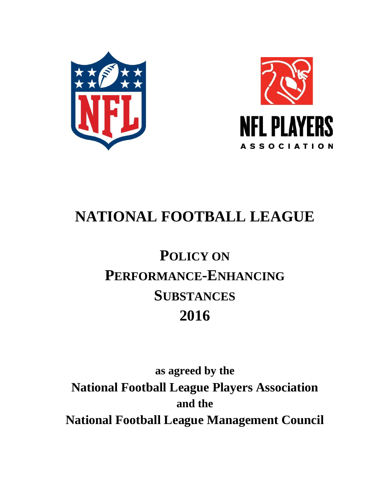



# **NATIONAL FOOTBALL LEAGUE**

# **POLICY ON PERFORMANCE-ENHANCING SUBSTANCES 2016**

**as agreed by the National Football League Players Association and the National Football League Management Council**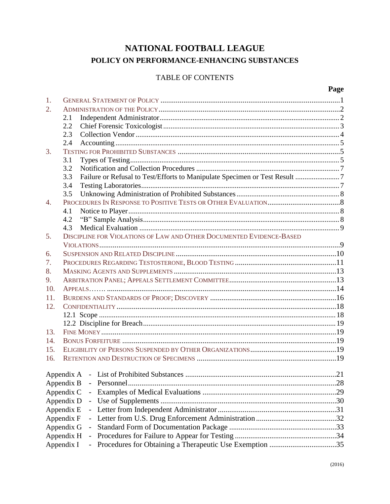# NATIONAL FOOTBALL LEAGUE POLICY ON PERFORMANCE-ENHANCING SUBSTANCES

# TABLE OF CONTENTS

#### Page

| 1.               |                                                                                   |    |
|------------------|-----------------------------------------------------------------------------------|----|
| $\overline{2}$ . |                                                                                   |    |
|                  | 2.1                                                                               |    |
|                  | 2.2                                                                               |    |
|                  | 2.3                                                                               |    |
|                  | 2.4                                                                               |    |
| 3.               |                                                                                   |    |
|                  | 3.1                                                                               |    |
|                  | 3.2                                                                               |    |
|                  | Failure or Refusal to Test/Efforts to Manipulate Specimen or Test Result 7<br>3.3 |    |
|                  | 3.4                                                                               |    |
|                  | 3.5                                                                               |    |
| $\overline{4}$ . |                                                                                   |    |
|                  | 4.1                                                                               |    |
|                  | 4.2                                                                               |    |
|                  | 4.3                                                                               |    |
| 5.               | DISCIPLINE FOR VIOLATIONS OF LAW AND OTHER DOCUMENTED EVIDENCE-BASED              |    |
|                  |                                                                                   |    |
| 6.               |                                                                                   |    |
| 7.               |                                                                                   |    |
| 8.               |                                                                                   |    |
| 9.               |                                                                                   |    |
| 10.              |                                                                                   |    |
| 11.              |                                                                                   |    |
| 12.              |                                                                                   |    |
|                  |                                                                                   |    |
|                  |                                                                                   |    |
| 13.              |                                                                                   |    |
| 14.              |                                                                                   |    |
| 15.              |                                                                                   |    |
| 16.              |                                                                                   |    |
|                  |                                                                                   |    |
|                  |                                                                                   |    |
|                  | Appendix B                                                                        | 28 |
|                  | Appendix C                                                                        |    |
|                  | Appendix D<br>$\overline{\phantom{0}}$                                            |    |
|                  | Appendix E                                                                        |    |
|                  | Appendix F                                                                        |    |
|                  | Appendix G<br>$\overline{\phantom{0}}$                                            |    |
|                  | Appendix H                                                                        |    |
|                  |                                                                                   |    |
|                  | Appendix I                                                                        |    |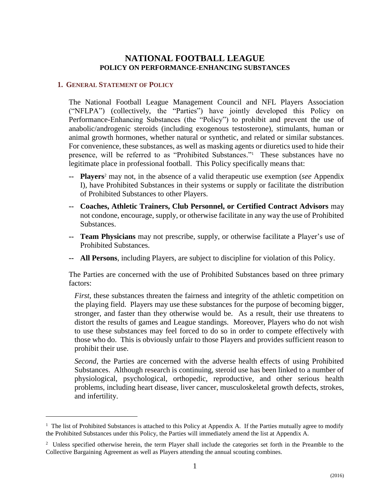# **NATIONAL FOOTBALL LEAGUE POLICY ON PERFORMANCE-ENHANCING SUBSTANCES**

#### <span id="page-2-0"></span>**1. GENERAL STATEMENT OF POLICY**

 $\overline{a}$ 

The National Football League Management Council and NFL Players Association ("NFLPA") (collectively, the "Parties") have jointly developed this Policy on Performance-Enhancing Substances (the "Policy") to prohibit and prevent the use of anabolic/androgenic steroids (including exogenous testosterone), stimulants, human or animal growth hormones, whether natural or synthetic, and related or similar substances. For convenience, these substances, as well as masking agents or diuretics used to hide their presence, will be referred to as "Prohibited Substances." <sup>1</sup> These substances have no legitimate place in professional football. This Policy specifically means that:

- **-- Players**<sup>2</sup> may not, in the absence of a valid therapeutic use exemption (*see* Appendix I), have Prohibited Substances in their systems or supply or facilitate the distribution of Prohibited Substances to other Players.
- **-- Coaches, Athletic Trainers, Club Personnel, or Certified Contract Advisors** may not condone, encourage, supply, or otherwise facilitate in any way the use of Prohibited Substances.
- **-- Team Physicians** may not prescribe, supply, or otherwise facilitate a Player's use of Prohibited Substances.
- **-- All Persons**, including Players, are subject to discipline for violation of this Policy.

The Parties are concerned with the use of Prohibited Substances based on three primary factors:

*First*, these substances threaten the fairness and integrity of the athletic competition on the playing field. Players may use these substances for the purpose of becoming bigger, stronger, and faster than they otherwise would be. As a result, their use threatens to distort the results of games and League standings. Moreover, Players who do not wish to use these substances may feel forced to do so in order to compete effectively with those who do. This is obviously unfair to those Players and provides sufficient reason to prohibit their use.

*Second*, the Parties are concerned with the adverse health effects of using Prohibited Substances. Although research is continuing, steroid use has been linked to a number of physiological, psychological, orthopedic, reproductive, and other serious health problems, including heart disease, liver cancer, musculoskeletal growth defects, strokes, and infertility.

<sup>&</sup>lt;sup>1</sup> The list of Prohibited Substances is attached to this Policy at Appendix A. If the Parties mutually agree to modify the Prohibited Substances under this Policy, the Parties will immediately amend the list at Appendix A.

<sup>&</sup>lt;sup>2</sup> Unless specified otherwise herein, the term Player shall include the categories set forth in the Preamble to the Collective Bargaining Agreement as well as Players attending the annual scouting combines.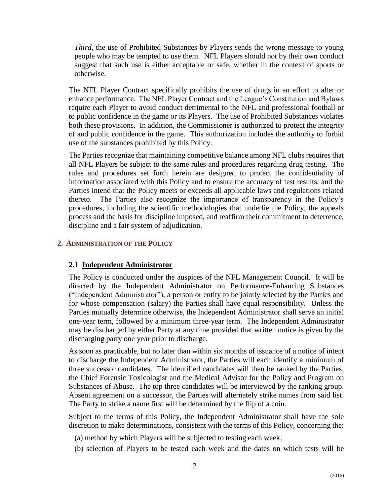*Third*, the use of Prohibited Substances by Players sends the wrong message to young people who may be tempted to use them. NFL Players should not by their own conduct suggest that such use is either acceptable or safe, whether in the context of sports or otherwise.

The NFL Player Contract specifically prohibits the use of drugs in an effort to alter or enhance performance. The NFL Player Contract and the League's Constitution and Bylaws require each Player to avoid conduct detrimental to the NFL and professional football or to public confidence in the game or its Players. The use of Prohibited Substances violates both these provisions. In addition, the Commissioner is authorized to protect the integrity of and public confidence in the game. This authorization includes the authority to forbid use of the substances prohibited by this Policy.

The Parties recognize that maintaining competitive balance among NFL clubs requires that all NFL Players be subject to the same rules and procedures regarding drug testing. The rules and procedures set forth herein are designed to protect the confidentiality of information associated with this Policy and to ensure the accuracy of test results, and the Parties intend that the Policy meets or exceeds all applicable laws and regulations related thereto. The Parties also recognize the importance of transparency in the Policy's procedures, including the scientific methodologies that underlie the Policy, the appeals process and the basis for discipline imposed, and reaffirm their commitment to deterrence, discipline and a fair system of adjudication.

# <span id="page-3-1"></span><span id="page-3-0"></span>**2. ADMINISTRATION OF THE POLICY**

# **2.1 Independent Administrator**

The Policy is conducted under the auspices of the NFL Management Council. It will be directed by the Independent Administrator on Performance-Enhancing Substances ("Independent Administrator"), a person or entity to be jointly selected by the Parties and for whose compensation (salary) the Parties shall have equal responsibility. Unless the Parties mutually determine otherwise, the Independent Administrator shall serve an initial one-year term, followed by a minimum three-year term. The Independent Administrator may be discharged by either Party at any time provided that written notice is given by the discharging party one year prior to discharge.

As soon as practicable, but no later than within six months of issuance of a notice of intent to discharge the Independent Administrator, the Parties will each identify a minimum of three successor candidates. The identified candidates will then be ranked by the Parties, the Chief Forensic Toxicologist and the Medical Advisor for the Policy and Program on Substances of Abuse. The top three candidates will be interviewed by the ranking group. Absent agreement on a successor, the Parties will alternately strike names from said list. The Party to strike a name first will be determined by the flip of a coin.

Subject to the terms of this Policy, the Independent Administrator shall have the sole discretion to make determinations, consistent with the terms of this Policy, concerning the:

- (a) method by which Players will be subjected to testing each week;
- (b) selection of Players to be tested each week and the dates on which tests will be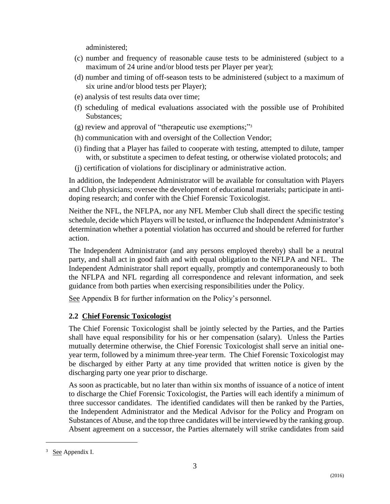administered;

- (c) number and frequency of reasonable cause tests to be administered (subject to a maximum of 24 urine and/or blood tests per Player per year);
- (d) number and timing of off-season tests to be administered (subject to a maximum of six urine and/or blood tests per Player);
- (e) analysis of test results data over time;
- (f) scheduling of medical evaluations associated with the possible use of Prohibited Substances;
- (g) review and approval of "therapeutic use exemptions;" 3
- (h) communication with and oversight of the Collection Vendor;
- (i) finding that a Player has failed to cooperate with testing, attempted to dilute, tamper with, or substitute a specimen to defeat testing, or otherwise violated protocols; and
- (j) certification of violations for disciplinary or administrative action.

In addition, the Independent Administrator will be available for consultation with Players and Club physicians; oversee the development of educational materials; participate in antidoping research; and confer with the Chief Forensic Toxicologist.

Neither the NFL, the NFLPA, nor any NFL Member Club shall direct the specific testing schedule, decide which Players will be tested, or influence the Independent Administrator's determination whether a potential violation has occurred and should be referred for further action.

The Independent Administrator (and any persons employed thereby) shall be a neutral party, and shall act in good faith and with equal obligation to the NFLPA and NFL. The Independent Administrator shall report equally, promptly and contemporaneously to both the NFLPA and NFL regarding all correspondence and relevant information, and seek guidance from both parties when exercising responsibilities under the Policy.

See Appendix B for further information on the Policy's personnel.

# <span id="page-4-0"></span>**2.2 Chief Forensic Toxicologist**

The Chief Forensic Toxicologist shall be jointly selected by the Parties, and the Parties shall have equal responsibility for his or her compensation (salary). Unless the Parties mutually determine otherwise, the Chief Forensic Toxicologist shall serve an initial oneyear term, followed by a minimum three-year term. The Chief Forensic Toxicologist may be discharged by either Party at any time provided that written notice is given by the discharging party one year prior to discharge.

As soon as practicable, but no later than within six months of issuance of a notice of intent to discharge the Chief Forensic Toxicologist, the Parties will each identify a minimum of three successor candidates. The identified candidates will then be ranked by the Parties, the Independent Administrator and the Medical Advisor for the Policy and Program on Substances of Abuse, and the top three candidates will be interviewed by the ranking group. Absent agreement on a successor, the Parties alternately will strike candidates from said

 $\overline{a}$ 

<sup>&</sup>lt;sup>3</sup> See Appendix I.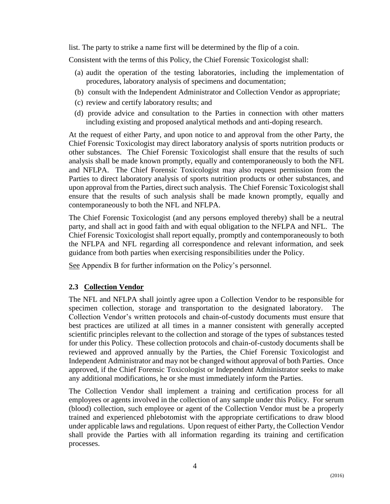list. The party to strike a name first will be determined by the flip of a coin.

Consistent with the terms of this Policy, the Chief Forensic Toxicologist shall:

- (a) audit the operation of the testing laboratories, including the implementation of procedures, laboratory analysis of specimens and documentation;
- (b) consult with the Independent Administrator and Collection Vendor as appropriate;
- (c) review and certify laboratory results; and
- (d) provide advice and consultation to the Parties in connection with other matters including existing and proposed analytical methods and anti-doping research.

At the request of either Party, and upon notice to and approval from the other Party, the Chief Forensic Toxicologist may direct laboratory analysis of sports nutrition products or other substances. The Chief Forensic Toxicologist shall ensure that the results of such analysis shall be made known promptly, equally and contemporaneously to both the NFL and NFLPA. The Chief Forensic Toxicologist may also request permission from the Parties to direct laboratory analysis of sports nutrition products or other substances, and upon approval from the Parties, direct such analysis. The Chief Forensic Toxicologist shall ensure that the results of such analysis shall be made known promptly, equally and contemporaneously to both the NFL and NFLPA.

The Chief Forensic Toxicologist (and any persons employed thereby) shall be a neutral party, and shall act in good faith and with equal obligation to the NFLPA and NFL. The Chief Forensic Toxicologist shall report equally, promptly and contemporaneously to both the NFLPA and NFL regarding all correspondence and relevant information, and seek guidance from both parties when exercising responsibilities under the Policy.

<span id="page-5-0"></span>See Appendix B for further information on the Policy's personnel.

# **2.3 Collection Vendor**

The NFL and NFLPA shall jointly agree upon a Collection Vendor to be responsible for specimen collection, storage and transportation to the designated laboratory. The Collection Vendor's written protocols and chain-of-custody documents must ensure that best practices are utilized at all times in a manner consistent with generally accepted scientific principles relevant to the collection and storage of the types of substances tested for under this Policy. These collection protocols and chain-of-custody documents shall be reviewed and approved annually by the Parties, the Chief Forensic Toxicologist and Independent Administrator and may not be changed without approval of both Parties. Once approved, if the Chief Forensic Toxicologist or Independent Administrator seeks to make any additional modifications, he or she must immediately inform the Parties.

<span id="page-5-1"></span>The Collection Vendor shall implement a training and certification process for all employees or agents involved in the collection of any sample under this Policy. For serum (blood) collection, such employee or agent of the Collection Vendor must be a properly trained and experienced phlebotomist with the appropriate certifications to draw blood under applicable laws and regulations. Upon request of either Party, the Collection Vendor shall provide the Parties with all information regarding its training and certification processes.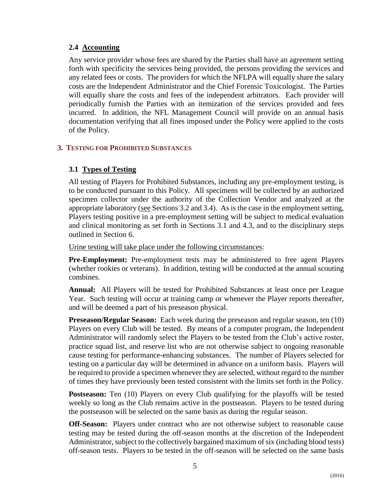# **2.4 Accounting**

Any service provider whose fees are shared by the Parties shall have an agreement setting forth with specificity the services being provided, the persons providing the services and any related fees or costs. The providers for which the NFLPA will equally share the salary costs are the Independent Administrator and the Chief Forensic Toxicologist. The Parties will equally share the costs and fees of the independent arbitrators. Each provider will periodically furnish the Parties with an itemization of the services provided and fees incurred. In addition, the NFL Management Council will provide on an annual basis documentation verifying that all fines imposed under the Policy were applied to the costs of the Policy.

## <span id="page-6-1"></span><span id="page-6-0"></span>**3. TESTING FOR PROHIBITED SUBSTANCES**

# **3.1 Types of Testing**

All testing of Players for Prohibited Substances, including any pre-employment testing, is to be conducted pursuant to this Policy. All specimens will be collected by an authorized specimen collector under the authority of the Collection Vendor and analyzed at the appropriate laboratory (see Sections 3.2 and 3.4). As is the case in the employment setting, Players testing positive in a pre-employment setting will be subject to medical evaluation and clinical monitoring as set forth in Sections 3.1 and 4.3, and to the disciplinary steps outlined in Section 6.

Urine testing will take place under the following circumstances:

**Pre-Employment:** Pre-employment tests may be administered to free agent Players (whether rookies or veterans). In addition, testing will be conducted at the annual scouting combines.

**Annual:** All Players will be tested for Prohibited Substances at least once per League Year. Such testing will occur at training camp or whenever the Player reports thereafter, and will be deemed a part of his preseason physical.

**Preseason/Regular Season:** Each week during the preseason and regular season, ten (10) Players on every Club will be tested. By means of a computer program, the Independent Administrator will randomly select the Players to be tested from the Club's active roster, practice squad list, and reserve list who are not otherwise subject to ongoing reasonable cause testing for performance-enhancing substances. The number of Players selected for testing on a particular day will be determined in advance on a uniform basis. Players will be required to provide a specimen whenever they are selected, without regard to the number of times they have previously been tested consistent with the limits set forth in the Policy.

**Postseason:** Ten (10) Players on every Club qualifying for the playoffs will be tested weekly so long as the Club remains active in the postseason. Players to be tested during the postseason will be selected on the same basis as during the regular season.

**Off-Season:** Players under contract who are not otherwise subject to reasonable cause testing may be tested during the off-season months at the discretion of the Independent Administrator, subject to the collectively bargained maximum of six (including blood tests) off-season tests. Players to be tested in the off-season will be selected on the same basis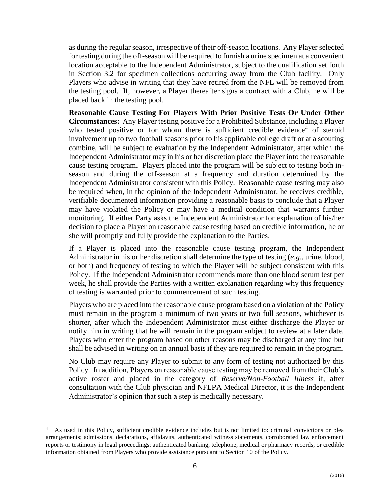as during the regular season, irrespective of their off-season locations. Any Player selected for testing during the off-season will be required to furnish a urine specimen at a convenient location acceptable to the Independent Administrator, subject to the qualification set forth in Section 3.2 for specimen collections occurring away from the Club facility. Only Players who advise in writing that they have retired from the NFL will be removed from the testing pool. If, however, a Player thereafter signs a contract with a Club, he will be placed back in the testing pool.

**Reasonable Cause Testing For Players With Prior Positive Tests Or Under Other Circumstances:** Any Player testing positive for a Prohibited Substance, including a Player who tested positive or for whom there is sufficient credible evidence<sup>4</sup> of steroid involvement up to two football seasons prior to his applicable college draft or at a scouting combine, will be subject to evaluation by the Independent Administrator, after which the Independent Administrator may in his or her discretion place the Player into the reasonable cause testing program. Players placed into the program will be subject to testing both inseason and during the off-season at a frequency and duration determined by the Independent Administrator consistent with this Policy. Reasonable cause testing may also be required when, in the opinion of the Independent Administrator, he receives credible, verifiable documented information providing a reasonable basis to conclude that a Player may have violated the Policy or may have a medical condition that warrants further monitoring. If either Party asks the Independent Administrator for explanation of his/her decision to place a Player on reasonable cause testing based on credible information, he or she will promptly and fully provide the explanation to the Parties.

If a Player is placed into the reasonable cause testing program, the Independent Administrator in his or her discretion shall determine the type of testing (*e.g*., urine, blood, or both) and frequency of testing to which the Player will be subject consistent with this Policy. If the Independent Administrator recommends more than one blood serum test per week, he shall provide the Parties with a written explanation regarding why this frequency of testing is warranted prior to commencement of such testing.

Players who are placed into the reasonable cause program based on a violation of the Policy must remain in the program a minimum of two years or two full seasons, whichever is shorter, after which the Independent Administrator must either discharge the Player or notify him in writing that he will remain in the program subject to review at a later date. Players who enter the program based on other reasons may be discharged at any time but shall be advised in writing on an annual basis if they are required to remain in the program.

No Club may require any Player to submit to any form of testing not authorized by this Policy. In addition, Players on reasonable cause testing may be removed from their Club's active roster and placed in the category of *Reserve/Non-Football Illness* if, after consultation with the Club physician and NFLPA Medical Director, it is the Independent Administrator's opinion that such a step is medically necessary.

 $\overline{a}$ 

<sup>4</sup> As used in this Policy, sufficient credible evidence includes but is not limited to: criminal convictions or plea arrangements; admissions, declarations, affidavits, authenticated witness statements, corroborated law enforcement reports or testimony in legal proceedings; authenticated banking, telephone, medical or pharmacy records; or credible information obtained from Players who provide assistance pursuant to Section 10 of the Policy.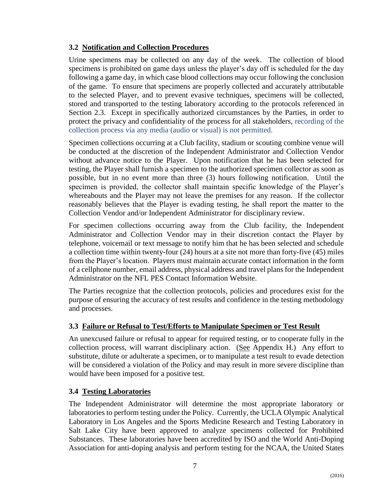# <span id="page-8-0"></span>**3.2 Notification and Collection Procedures**

Urine specimens may be collected on any day of the week. The collection of blood specimens is prohibited on game days unless the player's day off is scheduled for the day following a game day, in which case blood collections may occur following the conclusion of the game. To ensure that specimens are properly collected and accurately attributable to the selected Player, and to prevent evasive techniques, specimens will be collected, stored and transported to the testing laboratory according to the protocols referenced in Section 2.3. Except in specifically authorized circumstances by the Parties, in order to protect the privacy and confidentiality of the process for all stakeholders, recording of the collection process via any media (audio or visual) is not permitted.

Specimen collections occurring at a Club facility, stadium or scouting combine venue will be conducted at the discretion of the Independent Administrator and Collection Vendor without advance notice to the Player. Upon notification that he has been selected for testing, the Player shall furnish a specimen to the authorized specimen collector as soon as possible, but in no event more than three (3) hours following notification. Until the specimen is provided, the collector shall maintain specific knowledge of the Player's whereabouts and the Player may not leave the premises for any reason. If the collector reasonably believes that the Player is evading testing, he shall report the matter to the Collection Vendor and/or Independent Administrator for disciplinary review.

For specimen collections occurring away from the Club facility, the Independent Administrator and Collection Vendor may in their discretion contact the Player by telephone, voicemail or text message to notify him that he has been selected and schedule a collection time within twenty-four (24) hours at a site not more than forty-five (45) miles from the Player's location. Players must maintain accurate contact information in the form of a cellphone number, email address, physical address and travel plans for the Independent Administrator on the NFL PES Contact Information Website.

The Parties recognize that the collection protocols, policies and procedures exist for the purpose of ensuring the accuracy of test results and confidence in the testing methodology and processes.

# <span id="page-8-1"></span>**3.3 Failure or Refusal to Test/Efforts to Manipulate Specimen or Test Result**

An unexcused failure or refusal to appear for required testing, or to cooperate fully in the collection process, will warrant disciplinary action. (See Appendix H.) Any effort to substitute, dilute or adulterate a specimen, or to manipulate a test result to evade detection will be considered a violation of the Policy and may result in more severe discipline than would have been imposed for a positive test.

# <span id="page-8-2"></span>**3.4 Testing Laboratories**

The Independent Administrator will determine the most appropriate laboratory or laboratories to perform testing under the Policy. Currently, the UCLA Olympic Analytical Laboratory in Los Angeles and the Sports Medicine Research and Testing Laboratory in Salt Lake City have been approved to analyze specimens collected for Prohibited Substances. These laboratories have been accredited by ISO and the World Anti-Doping Association for anti-doping analysis and perform testing for the NCAA, the United States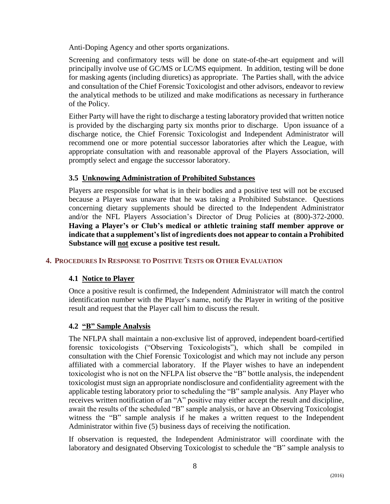Anti-Doping Agency and other sports organizations.

Screening and confirmatory tests will be done on state-of-the-art equipment and will principally involve use of GC/MS or LC/MS equipment. In addition, testing will be done for masking agents (including diuretics) as appropriate. The Parties shall, with the advice and consultation of the Chief Forensic Toxicologist and other advisors, endeavor to review the analytical methods to be utilized and make modifications as necessary in furtherance of the Policy.

Either Party will have the right to discharge a testing laboratory provided that written notice is provided by the discharging party six months prior to discharge. Upon issuance of a discharge notice, the Chief Forensic Toxicologist and Independent Administrator will recommend one or more potential successor laboratories after which the League, with appropriate consultation with and reasonable approval of the Players Association, will promptly select and engage the successor laboratory.

## <span id="page-9-0"></span>**3.5 Unknowing Administration of Prohibited Substances**

Players are responsible for what is in their bodies and a positive test will not be excused because a Player was unaware that he was taking a Prohibited Substance. Questions concerning dietary supplements should be directed to the Independent Administrator and/or the NFL Players Association's Director of Drug Policies at (800)-372-2000. **Having a Player's or Club's medical or athletic training staff member approve or indicate that a supplement's list of ingredients does not appear to contain a Prohibited Substance will not excuse a positive test result.**

# <span id="page-9-1"></span>**4. PROCEDURES IN RESPONSE TO POSITIVE TESTS OR OTHER EVALUATION**

#### <span id="page-9-2"></span>**4.1 Notice to Player**

Once a positive result is confirmed, the Independent Administrator will match the control identification number with the Player's name, notify the Player in writing of the positive result and request that the Player call him to discuss the result.

# <span id="page-9-3"></span>**4.2 "B" Sample Analysis**

The NFLPA shall maintain a non-exclusive list of approved, independent board-certified forensic toxicologists ("Observing Toxicologists"), which shall be compiled in consultation with the Chief Forensic Toxicologist and which may not include any person affiliated with a commercial laboratory. If the Player wishes to have an independent toxicologist who is not on the NFLPA list observe the "B" bottle analysis, the independent toxicologist must sign an appropriate nondisclosure and confidentiality agreement with the applicable testing laboratory prior to scheduling the "B" sample analysis. Any Player who receives written notification of an "A" positive may either accept the result and discipline, await the results of the scheduled "B" sample analysis, or have an Observing Toxicologist witness the "B" sample analysis if he makes a written request to the Independent Administrator within five (5) business days of receiving the notification.

If observation is requested, the Independent Administrator will coordinate with the laboratory and designated Observing Toxicologist to schedule the "B" sample analysis to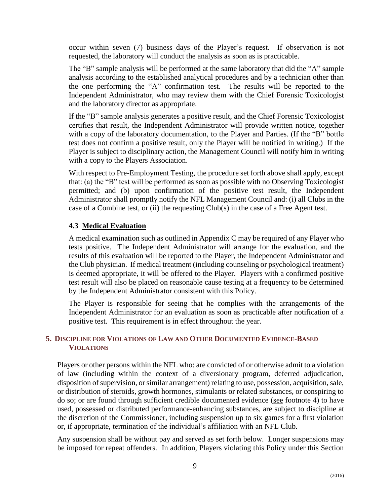occur within seven (7) business days of the Player's request. If observation is not requested, the laboratory will conduct the analysis as soon as is practicable.

The "B" sample analysis will be performed at the same laboratory that did the "A" sample analysis according to the established analytical procedures and by a technician other than the one performing the "A" confirmation test. The results will be reported to the Independent Administrator, who may review them with the Chief Forensic Toxicologist and the laboratory director as appropriate.

If the "B" sample analysis generates a positive result, and the Chief Forensic Toxicologist certifies that result, the Independent Administrator will provide written notice, together with a copy of the laboratory documentation, to the Player and Parties. (If the "B" bottle test does not confirm a positive result, only the Player will be notified in writing.) If the Player is subject to disciplinary action, the Management Council will notify him in writing with a copy to the Players Association.

With respect to Pre-Employment Testing, the procedure set forth above shall apply, except that: (a) the "B" test will be performed as soon as possible with no Observing Toxicologist permitted; and (b) upon confirmation of the positive test result, the Independent Administrator shall promptly notify the NFL Management Council and: (i) all Clubs in the case of a Combine test, or (ii) the requesting Club(s) in the case of a Free Agent test.

# <span id="page-10-0"></span>**4.3 Medical Evaluation**

A medical examination such as outlined in Appendix C may be required of any Player who tests positive. The Independent Administrator will arrange for the evaluation, and the results of this evaluation will be reported to the Player, the Independent Administrator and the Club physician. If medical treatment (including counseling or psychological treatment) is deemed appropriate, it will be offered to the Player. Players with a confirmed positive test result will also be placed on reasonable cause testing at a frequency to be determined by the Independent Administrator consistent with this Policy.

<span id="page-10-1"></span>The Player is responsible for seeing that he complies with the arrangements of the Independent Administrator for an evaluation as soon as practicable after notification of a positive test. This requirement is in effect throughout the year.

# **5. DISCIPLINE FOR VIOLATIONS OF LAW AND OTHER DOCUMENTED EVIDENCE-BASED VIOLATIONS**

Players or other persons within the NFL who: are convicted of or otherwise admit to a violation of law (including within the context of a diversionary program, deferred adjudication, disposition of supervision, or similar arrangement) relating to use, possession, acquisition, sale, or distribution of steroids, growth hormones, stimulants or related substances, or conspiring to do so; or are found through sufficient credible documented evidence (see footnote 4) to have used, possessed or distributed performance-enhancing substances, are subject to discipline at the discretion of the Commissioner, including suspension up to six games for a first violation or, if appropriate, termination of the individual's affiliation with an NFL Club.

Any suspension shall be without pay and served as set forth below. Longer suspensions may be imposed for repeat offenders. In addition, Players violating this Policy under this Section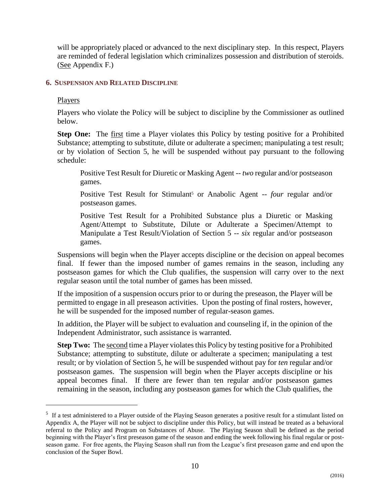will be appropriately placed or advanced to the next disciplinary step. In this respect, Players are reminded of federal legislation which criminalizes possession and distribution of steroids. (See Appendix F.)

#### <span id="page-11-0"></span>**6. SUSPENSION AND RELATED DISCIPLINE**

#### Players

 $\overline{a}$ 

Players who violate the Policy will be subject to discipline by the Commissioner as outlined below.

**Step One:** The first time a Player violates this Policy by testing positive for a Prohibited Substance; attempting to substitute, dilute or adulterate a specimen; manipulating a test result; or by violation of Section 5, he will be suspended without pay pursuant to the following schedule:

Positive Test Result for Diuretic or Masking Agent -- *two* regular and/or postseason games.

Positive Test Result for Stimulant<sup>5</sup> or Anabolic Agent -- *four* regular and/or postseason games.

Positive Test Result for a Prohibited Substance plus a Diuretic or Masking Agent/Attempt to Substitute, Dilute or Adulterate a Specimen/Attempt to Manipulate a Test Result/Violation of Section 5 -- *six* regular and/or postseason games.

Suspensions will begin when the Player accepts discipline or the decision on appeal becomes final. If fewer than the imposed number of games remains in the season, including any postseason games for which the Club qualifies, the suspension will carry over to the next regular season until the total number of games has been missed.

If the imposition of a suspension occurs prior to or during the preseason, the Player will be permitted to engage in all preseason activities. Upon the posting of final rosters, however, he will be suspended for the imposed number of regular-season games.

In addition, the Player will be subject to evaluation and counseling if, in the opinion of the Independent Administrator, such assistance is warranted.

**Step Two:** The second time a Player violates this Policy by testing positive for a Prohibited Substance; attempting to substitute, dilute or adulterate a specimen; manipulating a test result; or by violation of Section 5, he will be suspended without pay for *ten* regular and/or postseason games. The suspension will begin when the Player accepts discipline or his appeal becomes final. If there are fewer than ten regular and/or postseason games remaining in the season, including any postseason games for which the Club qualifies, the

<sup>&</sup>lt;sup>5</sup> If a test administered to a Player outside of the Playing Season generates a positive result for a stimulant listed on Appendix A, the Player will not be subject to discipline under this Policy, but will instead be treated as a behavioral referral to the Policy and Program on Substances of Abuse. The Playing Season shall be defined as the period beginning with the Player's first preseason game of the season and ending the week following his final regular or postseason game. For free agents, the Playing Season shall run from the League's first preseason game and end upon the conclusion of the Super Bowl.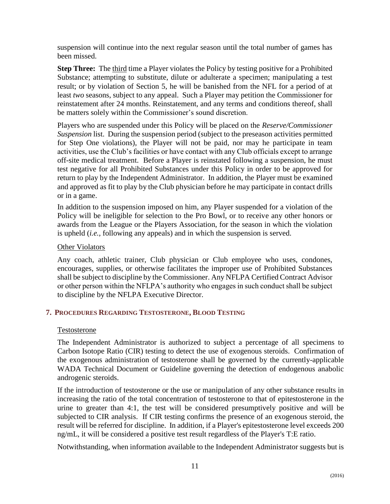suspension will continue into the next regular season until the total number of games has been missed.

**Step Three:** The third time a Player violates the Policy by testing positive for a Prohibited Substance; attempting to substitute, dilute or adulterate a specimen; manipulating a test result; or by violation of Section 5, he will be banished from the NFL for a period of at least *two* seasons, subject to any appeal. Such a Player may petition the Commissioner for reinstatement after 24 months. Reinstatement, and any terms and conditions thereof, shall be matters solely within the Commissioner's sound discretion.

Players who are suspended under this Policy will be placed on the *Reserve/Commissioner Suspension* list. During the suspension period (subject to the preseason activities permitted for Step One violations), the Player will not be paid, nor may he participate in team activities, use the Club's facilities or have contact with any Club officials except to arrange off-site medical treatment. Before a Player is reinstated following a suspension, he must test negative for all Prohibited Substances under this Policy in order to be approved for return to play by the Independent Administrator. In addition, the Player must be examined and approved as fit to play by the Club physician before he may participate in contact drills or in a game.

In addition to the suspension imposed on him, any Player suspended for a violation of the Policy will be ineligible for selection to the Pro Bowl, or to receive any other honors or awards from the League or the Players Association, for the season in which the violation is upheld (*i.e.,* following any appeals) and in which the suspension is served.

## Other Violators

Any coach, athletic trainer, Club physician or Club employee who uses, condones, encourages, supplies, or otherwise facilitates the improper use of Prohibited Substances shall be subject to discipline by the Commissioner. Any NFLPA Certified Contract Advisor or other person within the NFLPA's authority who engages in such conduct shall be subject to discipline by the NFLPA Executive Director.

# <span id="page-12-0"></span>**7. PROCEDURES REGARDING TESTOSTERONE, BLOOD TESTING**

#### Testosterone

The Independent Administrator is authorized to subject a percentage of all specimens to Carbon Isotope Ratio (CIR) testing to detect the use of exogenous steroids. Confirmation of the exogenous administration of testosterone shall be governed by the currently-applicable WADA Technical Document or Guideline governing the detection of endogenous anabolic androgenic steroids.

If the introduction of testosterone or the use or manipulation of any other substance results in increasing the ratio of the total concentration of testosterone to that of epitestosterone in the urine to greater than 4:1, the test will be considered presumptively positive and will be subjected to CIR analysis. If CIR testing confirms the presence of an exogenous steroid, the result will be referred for discipline. In addition, if a Player's epitestosterone level exceeds 200 ng/mL, it will be considered a positive test result regardless of the Player's T:E ratio.

Notwithstanding, when information available to the Independent Administrator suggests but is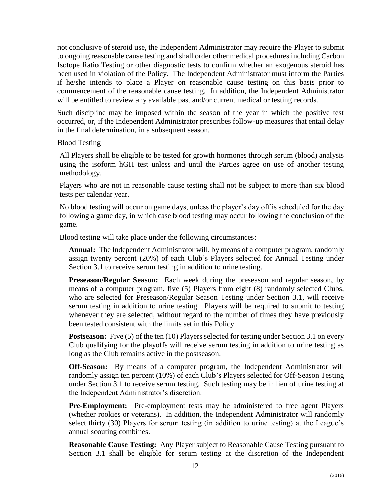not conclusive of steroid use, the Independent Administrator may require the Player to submit to ongoing reasonable cause testing and shall order other medical procedures including Carbon Isotope Ratio Testing or other diagnostic tests to confirm whether an exogenous steroid has been used in violation of the Policy. The Independent Administrator must inform the Parties if he/she intends to place a Player on reasonable cause testing on this basis prior to commencement of the reasonable cause testing. In addition, the Independent Administrator will be entitled to review any available past and/or current medical or testing records.

Such discipline may be imposed within the season of the year in which the positive test occurred, or, if the Independent Administrator prescribes follow-up measures that entail delay in the final determination, in a subsequent season.

#### Blood Testing

All Players shall be eligible to be tested for growth hormones through serum (blood) analysis using the isoform hGH test unless and until the Parties agree on use of another testing methodology.

Players who are not in reasonable cause testing shall not be subject to more than six blood tests per calendar year.

No blood testing will occur on game days, unless the player's day off is scheduled for the day following a game day, in which case blood testing may occur following the conclusion of the game.

Blood testing will take place under the following circumstances:

**Annual:** The Independent Administrator will, by means of a computer program, randomly assign twenty percent (20%) of each Club's Players selected for Annual Testing under Section 3.1 to receive serum testing in addition to urine testing.

**Preseason/Regular Season:** Each week during the preseason and regular season, by means of a computer program, five (5) Players from eight (8) randomly selected Clubs, who are selected for Preseason/Regular Season Testing under Section 3.1, will receive serum testing in addition to urine testing. Players will be required to submit to testing whenever they are selected, without regard to the number of times they have previously been tested consistent with the limits set in this Policy.

**Postseason:** Five (5) of the ten (10) Players selected for testing under Section 3.1 on every Club qualifying for the playoffs will receive serum testing in addition to urine testing as long as the Club remains active in the postseason.

**Off-Season:** By means of a computer program, the Independent Administrator will randomly assign ten percent (10%) of each Club's Players selected for Off-Season Testing under Section 3.1 to receive serum testing. Such testing may be in lieu of urine testing at the Independent Administrator's discretion.

**Pre-Employment:** Pre-employment tests may be administered to free agent Players (whether rookies or veterans). In addition, the Independent Administrator will randomly select thirty (30) Players for serum testing (in addition to urine testing) at the League's annual scouting combines.

**Reasonable Cause Testing:** Any Player subject to Reasonable Cause Testing pursuant to Section 3.1 shall be eligible for serum testing at the discretion of the Independent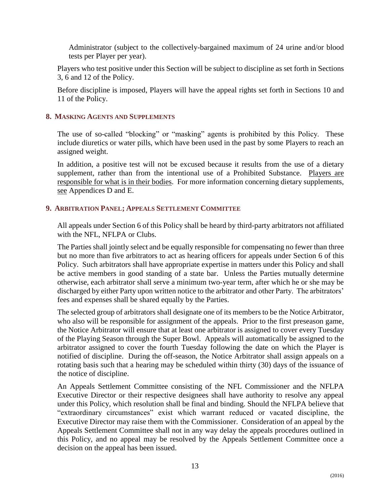Administrator (subject to the collectively-bargained maximum of 24 urine and/or blood tests per Player per year).

Players who test positive under this Section will be subject to discipline as set forth in Sections 3, 6 and 12 of the Policy.

Before discipline is imposed, Players will have the appeal rights set forth in Sections 10 and 11 of the Policy.

# <span id="page-14-0"></span>**8. MASKING AGENTS AND SUPPLEMENTS**

The use of so-called "blocking" or "masking" agents is prohibited by this Policy. These include diuretics or water pills, which have been used in the past by some Players to reach an assigned weight.

<span id="page-14-1"></span>In addition, a positive test will not be excused because it results from the use of a dietary supplement, rather than from the intentional use of a Prohibited Substance. Players are responsible for what is in their bodies. For more information concerning dietary supplements, see Appendices D and E.

## **9. ARBITRATION PANEL; APPEALS SETTLEMENT COMMITTEE**

All appeals under Section 6 of this Policy shall be heard by third-party arbitrators not affiliated with the NFL, NFLPA or Clubs.

The Parties shall jointly select and be equally responsible for compensating no fewer than three but no more than five arbitrators to act as hearing officers for appeals under Section 6 of this Policy. Such arbitrators shall have appropriate expertise in matters under this Policy and shall be active members in good standing of a state bar. Unless the Parties mutually determine otherwise, each arbitrator shall serve a minimum two-year term, after which he or she may be discharged by either Party upon written notice to the arbitrator and other Party. The arbitrators' fees and expenses shall be shared equally by the Parties.

The selected group of arbitrators shall designate one of its members to be the Notice Arbitrator, who also will be responsible for assignment of the appeals. Prior to the first preseason game, the Notice Arbitrator will ensure that at least one arbitrator is assigned to cover every Tuesday of the Playing Season through the Super Bowl. Appeals will automatically be assigned to the arbitrator assigned to cover the fourth Tuesday following the date on which the Player is notified of discipline. During the off-season, the Notice Arbitrator shall assign appeals on a rotating basis such that a hearing may be scheduled within thirty (30) days of the issuance of the notice of discipline.

An Appeals Settlement Committee consisting of the NFL Commissioner and the NFLPA Executive Director or their respective designees shall have authority to resolve any appeal under this Policy, which resolution shall be final and binding. Should the NFLPA believe that "extraordinary circumstances" exist which warrant reduced or vacated discipline, the Executive Director may raise them with the Commissioner. Consideration of an appeal by the Appeals Settlement Committee shall not in any way delay the appeals procedures outlined in this Policy, and no appeal may be resolved by the Appeals Settlement Committee once a decision on the appeal has been issued.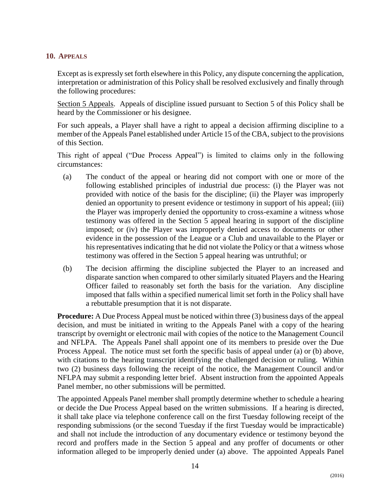#### <span id="page-15-0"></span>**10. APPEALS**

Except as is expressly set forth elsewhere in this Policy, any dispute concerning the application, interpretation or administration of this Policy shall be resolved exclusively and finally through the following procedures:

Section 5 Appeals. Appeals of discipline issued pursuant to Section 5 of this Policy shall be heard by the Commissioner or his designee.

For such appeals, a Player shall have a right to appeal a decision affirming discipline to a member of the Appeals Panel established under Article 15 of the CBA, subject to the provisions of this Section.

This right of appeal ("Due Process Appeal") is limited to claims only in the following circumstances:

- (a) The conduct of the appeal or hearing did not comport with one or more of the following established principles of industrial due process: (i) the Player was not provided with notice of the basis for the discipline; (ii) the Player was improperly denied an opportunity to present evidence or testimony in support of his appeal; (iii) the Player was improperly denied the opportunity to cross-examine a witness whose testimony was offered in the Section 5 appeal hearing in support of the discipline imposed; or (iv) the Player was improperly denied access to documents or other evidence in the possession of the League or a Club and unavailable to the Player or his representatives indicating that he did not violate the Policy or that a witness whose testimony was offered in the Section 5 appeal hearing was untruthful; or
- (b) The decision affirming the discipline subjected the Player to an increased and disparate sanction when compared to other similarly situated Players and the Hearing Officer failed to reasonably set forth the basis for the variation. Any discipline imposed that falls within a specified numerical limit set forth in the Policy shall have a rebuttable presumption that it is not disparate.

**Procedure:** A Due Process Appeal must be noticed within three (3) business days of the appeal decision, and must be initiated in writing to the Appeals Panel with a copy of the hearing transcript by overnight or electronic mail with copies of the notice to the Management Council and NFLPA. The Appeals Panel shall appoint one of its members to preside over the Due Process Appeal. The notice must set forth the specific basis of appeal under (a) or (b) above, with citations to the hearing transcript identifying the challenged decision or ruling. Within two (2) business days following the receipt of the notice, the Management Council and/or NFLPA may submit a responding letter brief. Absent instruction from the appointed Appeals Panel member, no other submissions will be permitted.

The appointed Appeals Panel member shall promptly determine whether to schedule a hearing or decide the Due Process Appeal based on the written submissions. If a hearing is directed, it shall take place via telephone conference call on the first Tuesday following receipt of the responding submissions (or the second Tuesday if the first Tuesday would be impracticable) and shall not include the introduction of any documentary evidence or testimony beyond the record and proffers made in the Section 5 appeal and any proffer of documents or other information alleged to be improperly denied under (a) above. The appointed Appeals Panel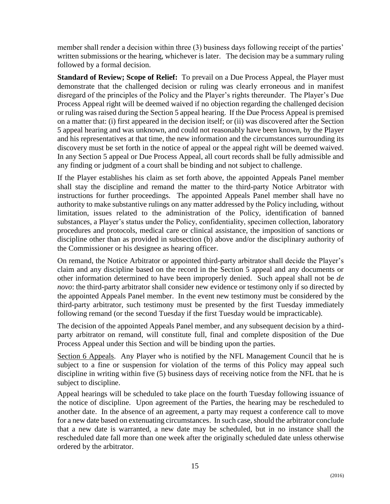member shall render a decision within three (3) business days following receipt of the parties' written submissions or the hearing, whichever is later. The decision may be a summary ruling followed by a formal decision.

**Standard of Review; Scope of Relief:** To prevail on a Due Process Appeal, the Player must demonstrate that the challenged decision or ruling was clearly erroneous and in manifest disregard of the principles of the Policy and the Player's rights thereunder. The Player's Due Process Appeal right will be deemed waived if no objection regarding the challenged decision or ruling was raised during the Section 5 appeal hearing. If the Due Process Appeal is premised on a matter that: (i) first appeared in the decision itself; or (ii) was discovered after the Section 5 appeal hearing and was unknown, and could not reasonably have been known, by the Player and his representatives at that time, the new information and the circumstances surrounding its discovery must be set forth in the notice of appeal or the appeal right will be deemed waived. In any Section 5 appeal or Due Process Appeal, all court records shall be fully admissible and any finding or judgment of a court shall be binding and not subject to challenge.

If the Player establishes his claim as set forth above, the appointed Appeals Panel member shall stay the discipline and remand the matter to the third-party Notice Arbitrator with instructions for further proceedings. The appointed Appeals Panel member shall have no authority to make substantive rulings on any matter addressed by the Policy including, without limitation, issues related to the administration of the Policy, identification of banned substances, a Player's status under the Policy, confidentiality, specimen collection, laboratory procedures and protocols, medical care or clinical assistance, the imposition of sanctions or discipline other than as provided in subsection (b) above and/or the disciplinary authority of the Commissioner or his designee as hearing officer.

On remand, the Notice Arbitrator or appointed third-party arbitrator shall decide the Player's claim and any discipline based on the record in the Section 5 appeal and any documents or other information determined to have been improperly denied. Such appeal shall not be *de novo*: the third-party arbitrator shall consider new evidence or testimony only if so directed by the appointed Appeals Panel member. In the event new testimony must be considered by the third-party arbitrator, such testimony must be presented by the first Tuesday immediately following remand (or the second Tuesday if the first Tuesday would be impracticable).

The decision of the appointed Appeals Panel member, and any subsequent decision by a thirdparty arbitrator on remand, will constitute full, final and complete disposition of the Due Process Appeal under this Section and will be binding upon the parties.

Section 6 Appeals. Any Player who is notified by the NFL Management Council that he is subject to a fine or suspension for violation of the terms of this Policy may appeal such discipline in writing within five (5) business days of receiving notice from the NFL that he is subject to discipline.

Appeal hearings will be scheduled to take place on the fourth Tuesday following issuance of the notice of discipline. Upon agreement of the Parties, the hearing may be rescheduled to another date. In the absence of an agreement, a party may request a conference call to move for a new date based on extenuating circumstances. In such case, should the arbitrator conclude that a new date is warranted, a new date may be scheduled, but in no instance shall the rescheduled date fall more than one week after the originally scheduled date unless otherwise ordered by the arbitrator.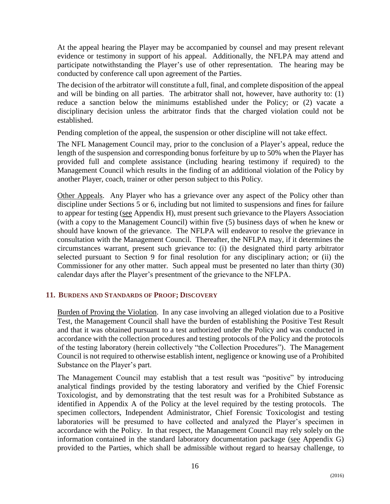At the appeal hearing the Player may be accompanied by counsel and may present relevant evidence or testimony in support of his appeal. Additionally, the NFLPA may attend and participate notwithstanding the Player's use of other representation. The hearing may be conducted by conference call upon agreement of the Parties.

The decision of the arbitrator will constitute a full, final, and complete disposition of the appeal and will be binding on all parties. The arbitrator shall not, however, have authority to: (1) reduce a sanction below the minimums established under the Policy; or (2) vacate a disciplinary decision unless the arbitrator finds that the charged violation could not be established.

Pending completion of the appeal, the suspension or other discipline will not take effect.

The NFL Management Council may, prior to the conclusion of a Player's appeal, reduce the length of the suspension and corresponding bonus forfeiture by up to 50% when the Player has provided full and complete assistance (including hearing testimony if required) to the Management Council which results in the finding of an additional violation of the Policy by another Player, coach, trainer or other person subject to this Policy.

Other Appeals. Any Player who has a grievance over any aspect of the Policy other than discipline under Sections 5 or 6, including but not limited to suspensions and fines for failure to appear for testing (see Appendix H), must present such grievance to the Players Association (with a copy to the Management Council) within five (5) business days of when he knew or should have known of the grievance. The NFLPA will endeavor to resolve the grievance in consultation with the Management Council. Thereafter, the NFLPA may, if it determines the circumstances warrant, present such grievance to: (i) the designated third party arbitrator selected pursuant to Section 9 for final resolution for any disciplinary action; or (ii) the Commissioner for any other matter. Such appeal must be presented no later than thirty (30) calendar days after the Player's presentment of the grievance to the NFLPA.

# <span id="page-17-0"></span>**11. BURDENS AND STANDARDS OF PROOF; DISCOVERY**

Burden of Proving the Violation. In any case involving an alleged violation due to a Positive Test, the Management Council shall have the burden of establishing the Positive Test Result and that it was obtained pursuant to a test authorized under the Policy and was conducted in accordance with the collection procedures and testing protocols of the Policy and the protocols of the testing laboratory (herein collectively "the Collection Procedures"). The Management Council is not required to otherwise establish intent, negligence or knowing use of a Prohibited Substance on the Player's part.

The Management Council may establish that a test result was "positive" by introducing analytical findings provided by the testing laboratory and verified by the Chief Forensic Toxicologist, and by demonstrating that the test result was for a Prohibited Substance as identified in Appendix A of the Policy at the level required by the testing protocols. The specimen collectors, Independent Administrator, Chief Forensic Toxicologist and testing laboratories will be presumed to have collected and analyzed the Player's specimen in accordance with the Policy. In that respect, the Management Council may rely solely on the information contained in the standard laboratory documentation package (see Appendix G) provided to the Parties, which shall be admissible without regard to hearsay challenge, to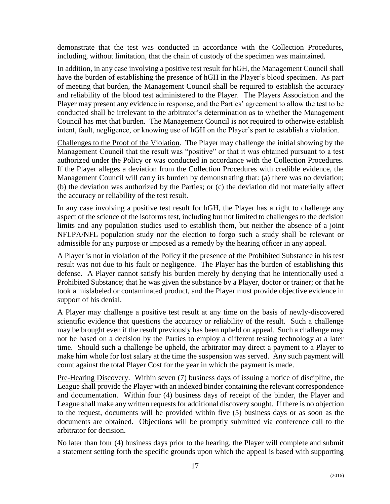demonstrate that the test was conducted in accordance with the Collection Procedures, including, without limitation, that the chain of custody of the specimen was maintained.

In addition, in any case involving a positive test result for hGH, the Management Council shall have the burden of establishing the presence of hGH in the Player's blood specimen. As part of meeting that burden, the Management Council shall be required to establish the accuracy and reliability of the blood test administered to the Player. The Players Association and the Player may present any evidence in response, and the Parties' agreement to allow the test to be conducted shall be irrelevant to the arbitrator's determination as to whether the Management Council has met that burden. The Management Council is not required to otherwise establish intent, fault, negligence, or knowing use of hGH on the Player's part to establish a violation.

Challenges to the Proof of the Violation. The Player may challenge the initial showing by the Management Council that the result was "positive" or that it was obtained pursuant to a test authorized under the Policy or was conducted in accordance with the Collection Procedures. If the Player alleges a deviation from the Collection Procedures with credible evidence, the Management Council will carry its burden by demonstrating that: (a) there was no deviation; (b) the deviation was authorized by the Parties; or (c) the deviation did not materially affect the accuracy or reliability of the test result.

In any case involving a positive test result for hGH, the Player has a right to challenge any aspect of the science of the isoforms test, including but not limited to challenges to the decision limits and any population studies used to establish them, but neither the absence of a joint NFLPA/NFL population study nor the election to forgo such a study shall be relevant or admissible for any purpose or imposed as a remedy by the hearing officer in any appeal.

A Player is not in violation of the Policy if the presence of the Prohibited Substance in his test result was not due to his fault or negligence. The Player has the burden of establishing this defense. A Player cannot satisfy his burden merely by denying that he intentionally used a Prohibited Substance; that he was given the substance by a Player, doctor or trainer; or that he took a mislabeled or contaminated product, and the Player must provide objective evidence in support of his denial.

A Player may challenge a positive test result at any time on the basis of newly-discovered scientific evidence that questions the accuracy or reliability of the result. Such a challenge may be brought even if the result previously has been upheld on appeal. Such a challenge may not be based on a decision by the Parties to employ a different testing technology at a later time. Should such a challenge be upheld, the arbitrator may direct a payment to a Player to make him whole for lost salary at the time the suspension was served. Any such payment will count against the total Player Cost for the year in which the payment is made.

Pre-Hearing Discovery. Within seven (7) business days of issuing a notice of discipline, the League shall provide the Player with an indexed binder containing the relevant correspondence and documentation. Within four (4) business days of receipt of the binder, the Player and League shall make any written requests for additional discovery sought. If there is no objection to the request, documents will be provided within five (5) business days or as soon as the documents are obtained. Objections will be promptly submitted via conference call to the arbitrator for decision.

No later than four (4) business days prior to the hearing, the Player will complete and submit a statement setting forth the specific grounds upon which the appeal is based with supporting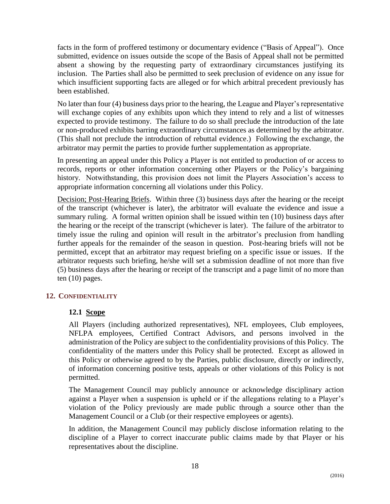facts in the form of proffered testimony or documentary evidence ("Basis of Appeal"). Once submitted, evidence on issues outside the scope of the Basis of Appeal shall not be permitted absent a showing by the requesting party of extraordinary circumstances justifying its inclusion. The Parties shall also be permitted to seek preclusion of evidence on any issue for which insufficient supporting facts are alleged or for which arbitral precedent previously has been established.

No later than four (4) business days prior to the hearing, the League and Player's representative will exchange copies of any exhibits upon which they intend to rely and a list of witnesses expected to provide testimony. The failure to do so shall preclude the introduction of the late or non-produced exhibits barring extraordinary circumstances as determined by the arbitrator. (This shall not preclude the introduction of rebuttal evidence.) Following the exchange, the arbitrator may permit the parties to provide further supplementation as appropriate.

In presenting an appeal under this Policy a Player is not entitled to production of or access to records, reports or other information concerning other Players or the Policy's bargaining history. Notwithstanding, this provision does not limit the Players Association's access to appropriate information concerning all violations under this Policy.

Decision; Post-Hearing Briefs. Within three (3) business days after the hearing or the receipt of the transcript (whichever is later), the arbitrator will evaluate the evidence and issue a summary ruling. A formal written opinion shall be issued within ten (10) business days after the hearing or the receipt of the transcript (whichever is later). The failure of the arbitrator to timely issue the ruling and opinion will result in the arbitrator's preclusion from handling further appeals for the remainder of the season in question. Post-hearing briefs will not be permitted, except that an arbitrator may request briefing on a specific issue or issues. If the arbitrator requests such briefing, he/she will set a submission deadline of not more than five (5) business days after the hearing or receipt of the transcript and a page limit of no more than ten (10) pages.

# <span id="page-19-1"></span><span id="page-19-0"></span>**12. CONFIDENTIALITY**

#### **12.1 Scope**

All Players (including authorized representatives), NFL employees, Club employees, NFLPA employees, Certified Contract Advisors, and persons involved in the administration of the Policy are subject to the confidentiality provisions of this Policy. The confidentiality of the matters under this Policy shall be protected. Except as allowed in this Policy or otherwise agreed to by the Parties, public disclosure, directly or indirectly, of information concerning positive tests, appeals or other violations of this Policy is not permitted.

The Management Council may publicly announce or acknowledge disciplinary action against a Player when a suspension is upheld or if the allegations relating to a Player's violation of the Policy previously are made public through a source other than the Management Council or a Club (or their respective employees or agents).

In addition, the Management Council may publicly disclose information relating to the discipline of a Player to correct inaccurate public claims made by that Player or his representatives about the discipline.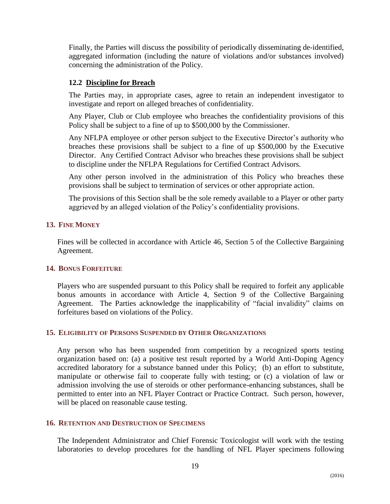Finally, the Parties will discuss the possibility of periodically disseminating de-identified, aggregated information (including the nature of violations and/or substances involved) concerning the administration of the Policy.

# <span id="page-20-0"></span>**12.2 Discipline for Breach**

The Parties may, in appropriate cases, agree to retain an independent investigator to investigate and report on alleged breaches of confidentiality.

Any Player, Club or Club employee who breaches the confidentiality provisions of this Policy shall be subject to a fine of up to \$500,000 by the Commissioner.

Any NFLPA employee or other person subject to the Executive Director's authority who breaches these provisions shall be subject to a fine of up \$500,000 by the Executive Director. Any Certified Contract Advisor who breaches these provisions shall be subject to discipline under the NFLPA Regulations for Certified Contract Advisors.

Any other person involved in the administration of this Policy who breaches these provisions shall be subject to termination of services or other appropriate action.

The provisions of this Section shall be the sole remedy available to a Player or other party aggrieved by an alleged violation of the Policy's confidentiality provisions.

## <span id="page-20-1"></span>**13. FINE MONEY**

Fines will be collected in accordance with Article 46, Section 5 of the Collective Bargaining Agreement.

# <span id="page-20-2"></span>**14. BONUS FORFEITURE**

<span id="page-20-3"></span>Players who are suspended pursuant to this Policy shall be required to forfeit any applicable bonus amounts in accordance with Article 4, Section 9 of the Collective Bargaining Agreement. The Parties acknowledge the inapplicability of "facial invalidity" claims on forfeitures based on violations of the Policy.

# **15. ELIGIBILITY OF PERSONS SUSPENDED BY OTHER ORGANIZATIONS**

Any person who has been suspended from competition by a recognized sports testing organization based on: (a) a positive test result reported by a World Anti-Doping Agency accredited laboratory for a substance banned under this Policy; (b) an effort to substitute, manipulate or otherwise fail to cooperate fully with testing; or (c) a violation of law or admission involving the use of steroids or other performance-enhancing substances, shall be permitted to enter into an NFL Player Contract or Practice Contract. Such person, however, will be placed on reasonable cause testing.

#### <span id="page-20-4"></span>**16. RETENTION AND DESTRUCTION OF SPECIMENS**

The Independent Administrator and Chief Forensic Toxicologist will work with the testing laboratories to develop procedures for the handling of NFL Player specimens following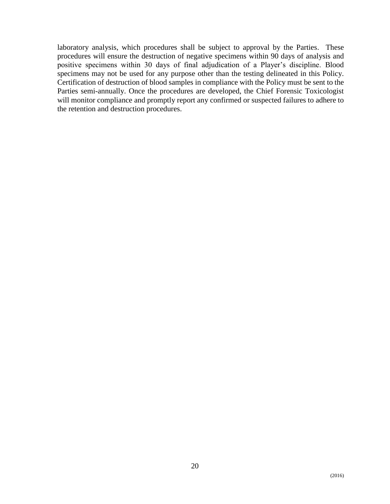<span id="page-21-0"></span>laboratory analysis, which procedures shall be subject to approval by the Parties. These procedures will ensure the destruction of negative specimens within 90 days of analysis and positive specimens within 30 days of final adjudication of a Player's discipline. Blood specimens may not be used for any purpose other than the testing delineated in this Policy. Certification of destruction of blood samples in compliance with the Policy must be sent to the Parties semi-annually. Once the procedures are developed, the Chief Forensic Toxicologist will monitor compliance and promptly report any confirmed or suspected failures to adhere to the retention and destruction procedures.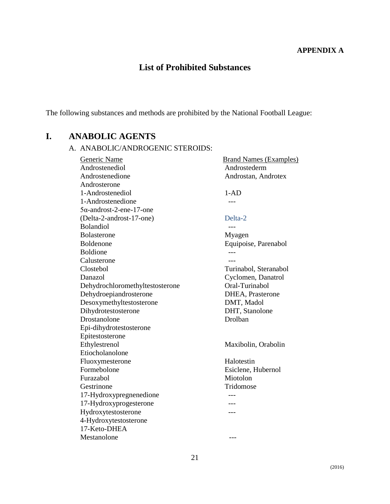#### **APPENDIX A**

# **List of Prohibited Substances**

The following substances and methods are prohibited by the National Football League:

# **I. ANABOLIC AGENTS**

#### A. ANABOLIC/ANDROGENIC STEROIDS:

Generic Name Brand Names (Examples) Androstenediol Androstederm Androstenedione Androstan, Androtex Androsterone 1-Androstenediol 1-AD 1-Androstenedione ---5α-androst-2-ene-17-one (Delta-2-androst-17-one) Delta-2 Bolandiol and the set of the set of the set of the set of the set of the set of the set of the set of the set of the set of the set of the set of the set of the set of the set of the set of the set of the set of the set of Bolasterone Myagen Boldenone Equipoise, Parenabol Boldione Calusterone ---Clostebol Turinabol, Steranabol Danazol Cyclomen, Danatrol Dehydrochloromethyltestosterone Oral-Turinabol Dehydroepiandrosterone DHEA, Prasterone Desoxymethyltestosterone DMT, Madol Dihydrotestosterone DHT, Stanolone Drostanolone Drolban Epi-dihydrotestosterone Epitestosterone Ethylestrenol Maxibolin, Orabolin Etiocholanolone Fluoxymesterone Halotestin Formebolone Esiclene, Hubernol Furazabol Miotolon Gestrinone Tridomose 17-Hydroxypregnenedione --- 17-Hydroxyprogesterone Hydroxytestosterone --- 4-Hydroxytestosterone 17-Keto-DHEA Mestanolone ---

21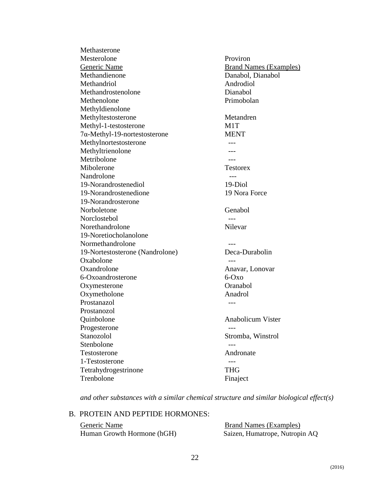Methasterone Mesterolone Proviron Generic Name<br>
Brand Names (Examples) Methandienone Danabol, Dianabol Methandriol **Androdiol Androdiol** Methandrostenolone Dianabol Methenolone Primobolan Methyldienolone Methyltestosterone Metandren Methyl-1-testosterone M1T 7α-Methyl-19-nortestosterone MENT Methylnortestosterone ---Methyltrienolone ---Metribolone ---Mibolerone Testorex Nandrolone --- 19-Norandrostenediol 19-Diol 19-Norandrostenedione 19 Nora Force 19-Norandrosterone Norboletone Genabol Norclostebol ---Norethandrolone Nilevar 19-Noretiocholanolone Normethandrolone ---19-Nortestosterone (Nandrolone) Deca-Durabolin Oxabolone ---Oxandrolone Anavar, Lonovar 6-Oxoandrosterone 6-Oxo Oxymesterone Oranabol Oxymetholone Anadrol Prostanazol and the contract of the contract of the contract of the contract of the contract of the contract of the contract of the contract of the contract of the contract of the contract of the contract of the contract o Prostanozol Quinbolone Anabolicum Vister Progesterone ---Stanozolol Stromba, Winstrol Stenbolone --- Testosterone Andronate 1-Testosterone --- Tetrahydrogestrinone THG Trenbolone Finaject

*and other substances with a similar chemical structure and similar biological effect(s)*

#### B. PROTEIN AND PEPTIDE HORMONES:

Generic Name Brand Names (Examples) Human Growth Hormone (hGH) Saizen, Humatrope, Nutropin AQ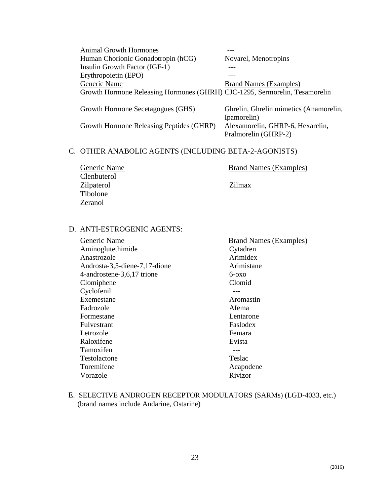Animal Growth Hormones --- Human Chorionic Gonadotropin (hCG) Novarel, Menotropins Insulin Growth Factor (IGF-1) --- Erythropoietin (EPO) --- Generic Name<br>
Brand Names (Examples) Growth Hormone Releasing Hormones (GHRH) CJC-1295, Sermorelin, Tesamorelin

Growth Hormone Releasing Peptides (GHRP) Alexamorelin, GHRP-6, Hexarelin,

Growth Hormone Secetagogues (GHS) Ghrelin, Ghrelin mimetics (Anamorelin, Ipamorelin) Pralmorelin (GHRP-2)

#### C. OTHER ANABOLIC AGENTS (INCLUDING BETA-2-AGONISTS)

| Generic Name      | <b>Brand Names (Examples)</b> |
|-------------------|-------------------------------|
| Clenbuterol       |                               |
| <b>Zilpaterol</b> | Zilmax                        |
| Tibolone          |                               |
| Zeranol           |                               |

#### D. ANTI-ESTROGENIC AGENTS:

| Generic Name                  | <b>Brand Names (Examples)</b> |
|-------------------------------|-------------------------------|
| Aminoglutethimide             | Cytadren                      |
| Anastrozole                   | Arimidex                      |
| Androsta-3,5-diene-7,17-dione | Arimistane                    |
| 4-androstene-3,6,17 trione    | $6-0x0$                       |
| Clomiphene                    | Clomid                        |
| Cyclofenil                    |                               |
| Exemestane                    | Aromastin                     |
| Fadrozole                     | Afema                         |
| Formestane                    | Lentarone                     |
| <b>Fulvestrant</b>            | Faslodex                      |
| Letrozole                     | Femara                        |
| Raloxifene                    | Evista                        |
| Tamoxifen                     |                               |
| Testolactone                  | Teslac                        |
| Toremifene                    | Acapodene                     |
| Vorazole                      | Rivizor                       |
|                               |                               |

E. SELECTIVE ANDROGEN RECEPTOR MODULATORS (SARMs) (LGD-4033, etc.) (brand names include Andarine, Ostarine)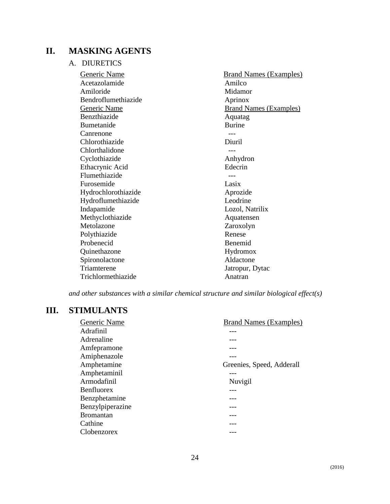# **II. MASKING AGENTS**

A. DIURETICS

| Generic Name        | <b>Brand Names (Examples)</b> |
|---------------------|-------------------------------|
| Acetazolamide       | Amilco                        |
| Amiloride           | Midamor                       |
| Bendroflumethiazide | Aprinox                       |
| <b>Generic Name</b> | <b>Brand Names (Examples)</b> |
| <b>Benzthiazide</b> | Aquatag                       |
| Bumetanide          | <b>Burine</b>                 |
| Canrenone           |                               |
| Chlorothiazide      | Diuril                        |
| Chlorthalidone      |                               |
| Cyclothiazide       | Anhydron                      |
| Ethacrynic Acid     | Edecrin                       |
| Flumethiazide       |                               |
| Furosemide          | Lasix                         |
| Hydrochlorothiazide | Aprozide                      |
| Hydroflumethiazide  | Leodrine                      |
| Indapamide          | Lozol, Natrilix               |
| Methyclothiazide    | Aquatensen                    |
| Metolazone          | Zaroxolyn                     |
| Polythiazide        | Renese                        |
| Probenecid          | Benemid                       |
| Quinethazone        | Hydromox                      |
| Spironolactone      | Aldactone                     |
| Triamterene         | Jatropur, Dytac               |
| Trichlormethiazide  | Anatran                       |

*and other substances with a similar chemical structure and similar biological effect(s)*

# **III. STIMULANTS**

| Adrafinil<br>Adrenaline<br>Amfepramone<br>Amiphenazole | Generic Name | <b>Brand Names (Examples)</b> |
|--------------------------------------------------------|--------------|-------------------------------|
|                                                        |              |                               |
|                                                        |              |                               |
|                                                        |              |                               |
|                                                        |              |                               |
|                                                        | Amphetamine  | Greenies, Speed, Adderall     |
| Amphetaminil                                           |              |                               |
| Armodafinil<br>Nuvigil                                 |              |                               |
| <b>Benfluorex</b>                                      |              |                               |
| Benzphetamine                                          |              |                               |
| Benzylpiperazine                                       |              |                               |
| <b>Bromantan</b>                                       |              |                               |
| Cathine                                                |              |                               |
| Clobenzorex                                            |              |                               |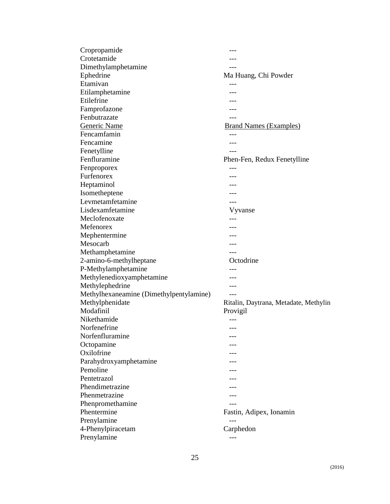| Cropropamide                            |                                       |
|-----------------------------------------|---------------------------------------|
| Crotetamide                             |                                       |
| Dimethylamphetamine                     |                                       |
| Ephedrine                               | Ma Huang, Chi Powder                  |
| Etamivan                                |                                       |
| Etilamphetamine                         |                                       |
| Etilefrine                              |                                       |
| Famprofazone                            |                                       |
| Fenbutrazate                            |                                       |
| Generic Name                            | <b>Brand Names (Examples)</b>         |
| Fencamfamin                             |                                       |
| Fencamine                               |                                       |
| Fenetylline                             |                                       |
| Fenfluramine                            | Phen-Fen, Redux Fenetylline           |
| Fenproporex                             | ---                                   |
| Furfenorex                              |                                       |
| Heptaminol                              |                                       |
| Isometheptene                           |                                       |
| Levmetamfetamine                        |                                       |
| Lisdexamfetamine                        | Vyvanse                               |
| Meclofenoxate                           |                                       |
| Mefenorex                               |                                       |
| Mephentermine                           |                                       |
| Mesocarb                                |                                       |
| Methamphetamine                         |                                       |
| 2-amino-6-methylheptane                 | Octodrine                             |
| P-Methylamphetamine                     |                                       |
| Methylenedioxyamphetamine               |                                       |
| Methylephedrine                         |                                       |
| Methylhexaneamine (Dimethylpentylamine) |                                       |
| Methylphenidate                         | Ritalin, Daytrana, Metadate, Methylin |
| Modafinil                               | Provigil                              |
| Nikethamide                             |                                       |
| Norfenefrine                            | ---                                   |
| Norfenfluramine                         |                                       |
| Octopamine                              |                                       |
| Oxilofrine                              |                                       |
| Parahydroxyamphetamine                  |                                       |
| Pemoline                                |                                       |
| Pentetrazol                             |                                       |
| Phendimetrazine                         |                                       |
| Phenmetrazine                           |                                       |
| Phenpromethamine                        |                                       |
| Phentermine                             | Fastin, Adipex, Ionamin               |
| Prenylamine                             |                                       |
| 4-Phenylpiracetam                       | Carphedon                             |
| Prenylamine                             |                                       |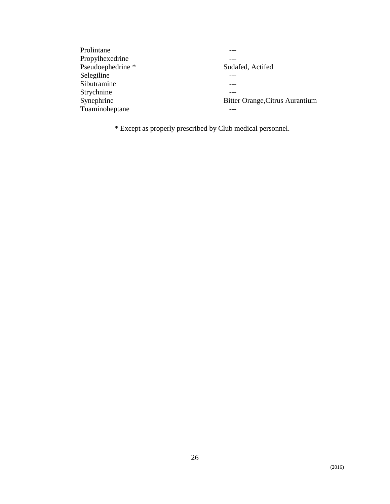| Prolintane        |                                        |
|-------------------|----------------------------------------|
| Propylhexedrine   |                                        |
| Pseudoephedrine * | Sudafed, Actifed                       |
| Selegiline        |                                        |
| Sibutramine       |                                        |
| Strychnine        |                                        |
| Synephrine        | <b>Bitter Orange, Citrus Aurantium</b> |
| Tuaminoheptane    |                                        |

\* Except as properly prescribed by Club medical personnel.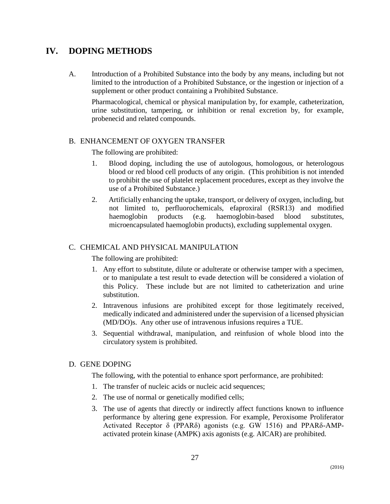# **IV. DOPING METHODS**

A. Introduction of a Prohibited Substance into the body by any means, including but not limited to the introduction of a Prohibited Substance, or the ingestion or injection of a supplement or other product containing a Prohibited Substance.

Pharmacological, chemical or physical manipulation by, for example, catheterization, urine substitution, tampering, or inhibition or renal excretion by, for example, probenecid and related compounds.

#### B. ENHANCEMENT OF OXYGEN TRANSFER

The following are prohibited:

- 1. Blood doping, including the use of autologous, homologous, or heterologous blood or red blood cell products of any origin. (This prohibition is not intended to prohibit the use of platelet replacement procedures, except as they involve the use of a Prohibited Substance.)
- 2. Artificially enhancing the uptake, transport, or delivery of oxygen, including, but not limited to, perfluorochemicals, efaproxiral (RSR13) and modified haemoglobin products (e.g. haemoglobin-based blood substitutes, microencapsulated haemoglobin products), excluding supplemental oxygen.

#### C. CHEMICAL AND PHYSICAL MANIPULATION

The following are prohibited:

- 1. Any effort to substitute, dilute or adulterate or otherwise tamper with a specimen, or to manipulate a test result to evade detection will be considered a violation of this Policy. These include but are not limited to catheterization and urine substitution.
- 2. Intravenous infusions are prohibited except for those legitimately received, medically indicated and administered under the supervision of a licensed physician (MD/DO)s. Any other use of intravenous infusions requires a TUE.
- 3. Sequential withdrawal, manipulation, and reinfusion of whole blood into the circulatory system is prohibited.

#### D. GENE DOPING

The following, with the potential to enhance sport performance, are prohibited:

- 1. The transfer of nucleic acids or nucleic acid sequences;
- 2. The use of normal or genetically modified cells;
- 3. The use of agents that directly or indirectly affect functions known to influence performance by altering gene expression. For example, Peroxisome Proliferator Activated Receptor δ (PPARδ) agonists (e.g. GW 1516) and PPARδ-AMPactivated protein kinase (AMPK) axis agonists (e.g. AICAR) are prohibited.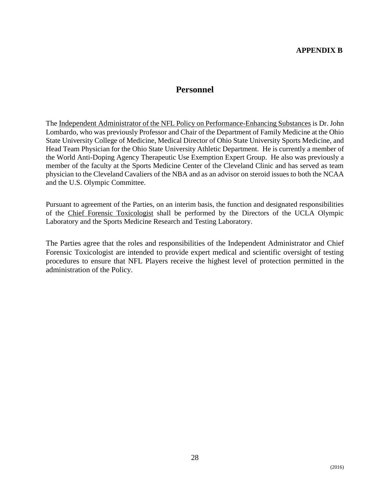# **Personnel**

<span id="page-29-0"></span>The Independent Administrator of the NFL Policy on Performance-Enhancing Substances is Dr. John Lombardo, who was previously Professor and Chair of the Department of Family Medicine at the Ohio State University College of Medicine, Medical Director of Ohio State University Sports Medicine, and Head Team Physician for the Ohio State University Athletic Department. He is currently a member of the World Anti-Doping Agency Therapeutic Use Exemption Expert Group. He also was previously a member of the faculty at the Sports Medicine Center of the Cleveland Clinic and has served as team physician to the Cleveland Cavaliers of the NBA and as an advisor on steroid issues to both the NCAA and the U.S. Olympic Committee.

Pursuant to agreement of the Parties, on an interim basis, the function and designated responsibilities of the Chief Forensic Toxicologist shall be performed by the Directors of the UCLA Olympic Laboratory and the Sports Medicine Research and Testing Laboratory.

The Parties agree that the roles and responsibilities of the Independent Administrator and Chief Forensic Toxicologist are intended to provide expert medical and scientific oversight of testing procedures to ensure that NFL Players receive the highest level of protection permitted in the administration of the Policy.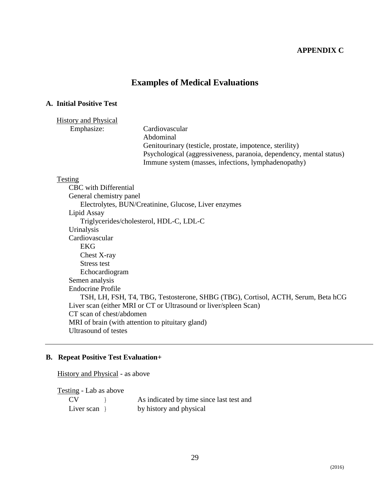#### **APPENDIX C**

# **Examples of Medical Evaluations**

#### <span id="page-30-0"></span>**A. Initial Positive Test**

#### History and Physical

Emphasize: Cardiovascular Abdominal Genitourinary (testicle, prostate, impotence, sterility) Psychological (aggressiveness, paranoia, dependency, mental status) Immune system (masses, infections, lymphadenopathy)

#### Testing

CBC with Differential General chemistry panel Electrolytes, BUN/Creatinine, Glucose, Liver enzymes Lipid Assay Triglycerides/cholesterol, HDL-C, LDL-C Urinalysis Cardiovascular EKG Chest X-ray Stress test Echocardiogram Semen analysis Endocrine Profile TSH, LH, FSH, T4, TBG, Testosterone, SHBG (TBG), Cortisol, ACTH, Serum, Beta hCG Liver scan (either MRI or CT or Ultrasound or liver/spleen Scan) CT scan of chest/abdomen MRI of brain (with attention to pituitary gland) Ultrasound of testes

#### **B. Repeat Positive Test Evaluation+**

History and Physical - as above

Testing - Lab as above

| CV <sub></sub>  | As indicated by time since last test and |
|-----------------|------------------------------------------|
| Liver scan $\}$ | by history and physical                  |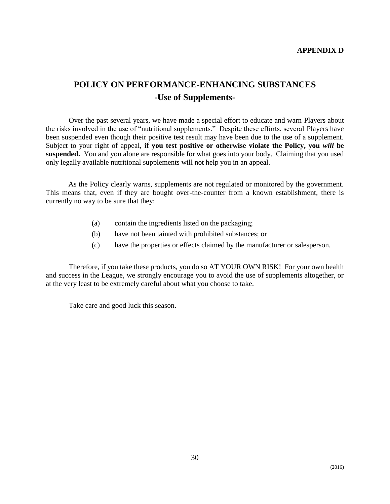# <span id="page-31-0"></span>**POLICY ON PERFORMANCE-ENHANCING SUBSTANCES -Use of Supplements-**

Over the past several years, we have made a special effort to educate and warn Players about the risks involved in the use of "nutritional supplements." Despite these efforts, several Players have been suspended even though their positive test result may have been due to the use of a supplement. Subject to your right of appeal, **if you test positive or otherwise violate the Policy, you** *will* **be suspended.** You and you alone are responsible for what goes into your body. Claiming that you used only legally available nutritional supplements will not help you in an appeal.

As the Policy clearly warns, supplements are not regulated or monitored by the government. This means that, even if they are bought over-the-counter from a known establishment, there is currently no way to be sure that they:

- (a) contain the ingredients listed on the packaging;
- (b) have not been tainted with prohibited substances; or
- (c) have the properties or effects claimed by the manufacturer or salesperson.

Therefore, if you take these products, you do so AT YOUR OWN RISK! For your own health and success in the League, we strongly encourage you to avoid the use of supplements altogether, or at the very least to be extremely careful about what you choose to take.

Take care and good luck this season.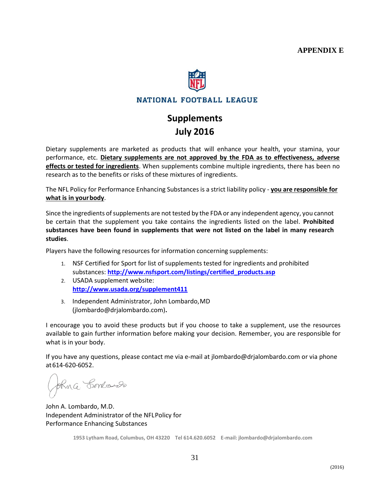

# NATIONAL FOOTBALL LEAGUE

# **Supplements July 2016**

<span id="page-32-0"></span>Dietary supplements are marketed as products that will enhance your health, your stamina, your performance, etc. **Dietary supplements are not approved by the FDA as to effectiveness, adverse effects or tested for ingredients**. When supplements combine multiple ingredients, there has been no research as to the benefits or risks of these mixtures of ingredients.

The NFL Policy for Performance Enhancing Substances is a strict liability policy ‐ **you are responsible for what is in yourbody**.

Since the ingredients of supplements are not tested by the FDA or any independent agency, you cannot be certain that the supplement you take contains the ingredients listed on the label. **Prohibited substances have been found in supplements that were not listed on the label in many research studies**.

Players have the following resources for information concerning supplements:

- 1. NSF Certified for Sport for list of supplements tested for ingredients and prohibited substances: **[http://www.nsfsport.com/listings/certified\\_products.asp](http://www.nsfsport.com/listings/certified_products.asp)**
- 2. USADA supplement website: **<http://www.usada.org/supplement411>**
- 3. Independent Administrator, John Lombardo,MD (jlombardo@drjalombardo.com)**.**

I encourage you to avoid these products but if you choose to take a supplement, use the resources available to gain further information before making your decision. Remember, you are responsible for what is in your body.

If you have any questions, please contact me via e‐mail at [jlombardo@drjalombardo.com](mailto:jlombardo@drjalombardo.com) or via phone at614‐620‐6052.

Shira Bonbards

John A. Lombardo, M.D. Independent Administrator of the NFLPolicy for Performance Enhancing Substances

**1953 Lytham Road, Columbus, OH 43220 Tel 614.620.6052 E‐mail: [jlombardo@drjalombardo.com](mailto:jlombardo@drjalombardo.com)**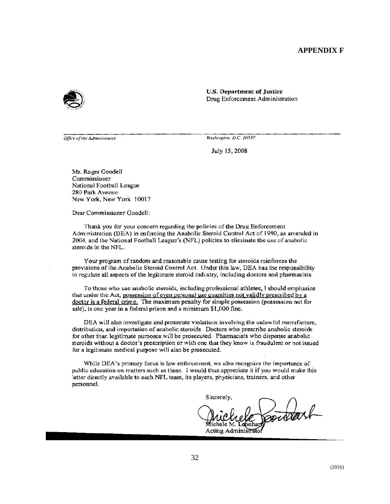#### **APPENDIX F**

<span id="page-33-0"></span>

**U.S. Department of Justice** Drug Enforcement Administration

Office of the Administrator

Washington, D.C. 20537

July 15, 2008

Mr. Roger Goodell Commissioner National Football League 280 Park Avenue New York, New York 10017

Dear Commissioner Goodell:

Thank you for your concern regarding the policies of the Drug Enforcement Administration (DEA) in enforcing the Anabolic Steroid Control Act of 1990, as amended in 2004, and the National Football League's (NFL) policies to eliminate the use of anabolic steroids in the NFL.

Your program of random and reasonable cause testing for steroids reinforces the provisions of the Anabolic Steroid Control Act. Under this law, DEA has the responsibility to regulate all aspects of the legitimate steroid industry, including doctors and pharmacists.

To those who use anabolic steroids, including professional athletes, I should emphasize that under the Act, possession of even personal use quantities not validly prescribed by a doctor is a federal crime. The maximum penalty for simple possession (possession not for sale), is one year in a federal prison and a minimum \$1,000 fine.

DEA will also investigate and prosecute violations involving the unlawful manufacture, distribution, and importation of anabolic steroids. Doctors who prescribe anabolic steroids for other than legitimate purposes will be prosecuted. Pharmacists who dispense anabolic steroids without a doctor's prescription or with one that they know is fraudulent or not issued for a legitimate medical purpose will also be prosecuted.

While DEA's primary focus is law enforcement, we also recognize the importance of public education on matters such as these. I would thus appreciate it if you would make this letter directly available to each NFL team, its players, physicians, trainers, and other personnel.

Sincerely, pointerf donhar Acting Administrato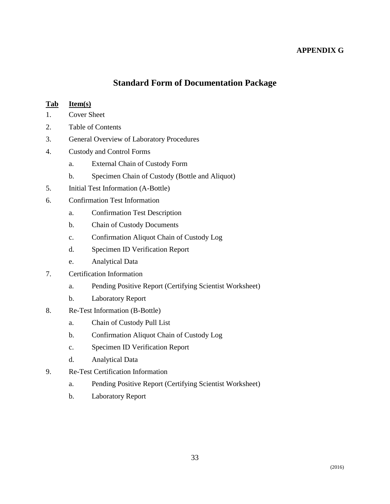## **APPENDIX G**

# **Standard Form of Documentation Package**

#### <span id="page-34-0"></span>**Tab Item(s)**

- 1. Cover Sheet
- 2. Table of Contents
- 3. General Overview of Laboratory Procedures
- 4. Custody and Control Forms
	- a. External Chain of Custody Form
	- b. Specimen Chain of Custody (Bottle and Aliquot)
- 5. Initial Test Information (A-Bottle)
- 6. Confirmation Test Information
	- a. Confirmation Test Description
	- b. Chain of Custody Documents
	- c. Confirmation Aliquot Chain of Custody Log
	- d. Specimen ID Verification Report
	- e. Analytical Data
- 7. Certification Information
	- a. Pending Positive Report (Certifying Scientist Worksheet)
	- b. Laboratory Report
- 8. Re-Test Information (B-Bottle)
	- a. Chain of Custody Pull List
	- b. Confirmation Aliquot Chain of Custody Log
	- c. Specimen ID Verification Report
	- d. Analytical Data
- 9. Re-Test Certification Information
	- a. Pending Positive Report (Certifying Scientist Worksheet)
	- b. Laboratory Report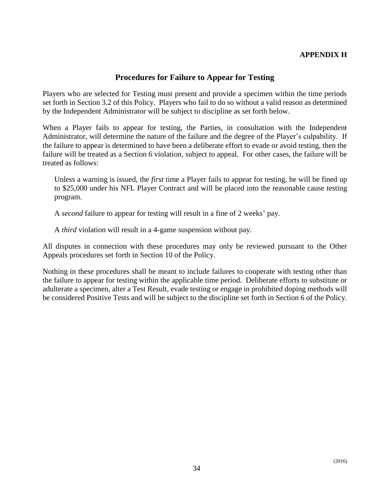# **APPENDIX H**

## **Procedures for Failure to Appear for Testing**

<span id="page-35-0"></span>Players who are selected for Testing must present and provide a specimen within the time periods set forth in Section 3.2 of this Policy. Players who fail to do so without a valid reason as determined by the Independent Administrator will be subject to discipline as set forth below.

When a Player fails to appear for testing, the Parties, in consultation with the Independent Administrator, will determine the nature of the failure and the degree of the Player's culpability. If the failure to appear is determined to have been a deliberate effort to evade or avoid testing, then the failure will be treated as a Section 6 violation, subject to appeal. For other cases, the failure will be treated as follows:

Unless a warning is issued, the *first* time a Player fails to appear for testing, he will be fined up to \$25,000 under his NFL Player Contract and will be placed into the reasonable cause testing program.

A *second* failure to appear for testing will result in a fine of 2 weeks' pay.

A *third* violation will result in a 4-game suspension without pay.

All disputes in connection with these procedures may only be reviewed pursuant to the Other Appeals procedures set forth in Section 10 of the Policy.

Nothing in these procedures shall be meant to include failures to cooperate with testing other than the failure to appear for testing within the applicable time period. Deliberate efforts to substitute or adulterate a specimen, alter a Test Result, evade testing or engage in prohibited doping methods will be considered Positive Tests and will be subject to the discipline set forth in Section 6 of the Policy.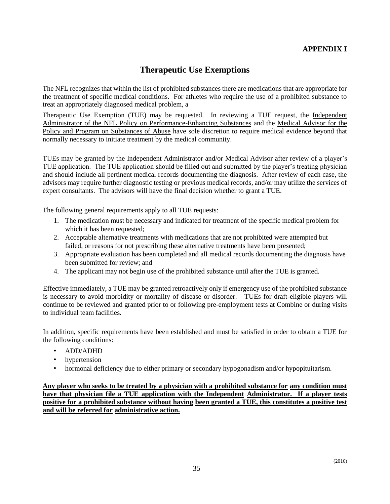# **APPENDIX I**

# **Therapeutic Use Exemptions**

<span id="page-36-0"></span>The NFL recognizes that within the list of prohibited substances there are medications that are appropriate for the treatment of specific medical conditions. For athletes who require the use of a prohibited substance to treat an appropriately diagnosed medical problem, a

Therapeutic Use Exemption (TUE) may be requested. In reviewing a TUE request, the Independent Administrator of the NFL Policy on Performance-Enhancing Substances and the Medical Advisor for the Policy and Program on Substances of Abuse have sole discretion to require medical evidence beyond that normally necessary to initiate treatment by the medical community.

TUEs may be granted by the Independent Administrator and/or Medical Advisor after review of a player's TUE application. The TUE application should be filled out and submitted by the player's treating physician and should include all pertinent medical records documenting the diagnosis. After review of each case, the advisors may require further diagnostic testing or previous medical records, and/or may utilize the services of expert consultants. The advisors will have the final decision whether to grant a TUE.

The following general requirements apply to all TUE requests:

- 1. The medication must be necessary and indicated for treatment of the specific medical problem for which it has been requested;
- 2. Acceptable alternative treatments with medications that are not prohibited were attempted but failed, or reasons for not prescribing these alternative treatments have been presented;
- 3. Appropriate evaluation has been completed and all medical records documenting the diagnosis have been submitted for review; and
- 4. The applicant may not begin use of the prohibited substance until after the TUE is granted.

Effective immediately, a TUE may be granted retroactively only if emergency use of the prohibited substance is necessary to avoid morbidity or mortality of disease or disorder. TUEs for draft-eligible players will continue to be reviewed and granted prior to or following pre-employment tests at Combine or during visits to individual team facilities.

In addition, specific requirements have been established and must be satisfied in order to obtain a TUE for the following conditions:

- ADD/ADHD
- hypertension
- hormonal deficiency due to either primary or secondary hypogonadism and/or hypopituitarism.

**Any player who seeks to be treated by a physician with a prohibited substance for any condition must have that physician file a TUE application with the Independent Administrator. If a player tests positive for a prohibited substance without having been granted a TUE, this constitutes a positive test and will be referred for administrative action.**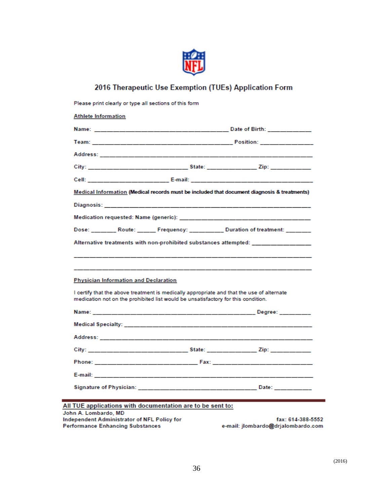

# 2016 Therapeutic Use Exemption (TUEs) Application Form

|                                              |                                                                                                                                                                                                                                | <b>Team:</b> Position: Position: Provided a Position: Provided a Position: Provided a Position: Provided a Position: Provided a Position: Provided a Position: Provided a Position: Provided a Position: Provided a Position: Provi |
|----------------------------------------------|--------------------------------------------------------------------------------------------------------------------------------------------------------------------------------------------------------------------------------|-------------------------------------------------------------------------------------------------------------------------------------------------------------------------------------------------------------------------------------|
|                                              |                                                                                                                                                                                                                                |                                                                                                                                                                                                                                     |
|                                              |                                                                                                                                                                                                                                |                                                                                                                                                                                                                                     |
|                                              |                                                                                                                                                                                                                                |                                                                                                                                                                                                                                     |
|                                              |                                                                                                                                                                                                                                | Medical Information (Medical records must be included that document diagnosis & treatments)                                                                                                                                         |
|                                              | Diagnosis: Diagnosis: Participate of the Contract of the Contract of the Contract of the Contract of the Contract of the Contract of the Contract of the Contract of the Contract of the Contract of the Contract of the Contr |                                                                                                                                                                                                                                     |
|                                              |                                                                                                                                                                                                                                |                                                                                                                                                                                                                                     |
|                                              |                                                                                                                                                                                                                                | Dose: Route: Frequency: Duration of treatment:                                                                                                                                                                                      |
|                                              |                                                                                                                                                                                                                                | Alternative treatments with non-prohibited substances attempted: _______________                                                                                                                                                    |
|                                              |                                                                                                                                                                                                                                |                                                                                                                                                                                                                                     |
|                                              |                                                                                                                                                                                                                                |                                                                                                                                                                                                                                     |
|                                              |                                                                                                                                                                                                                                |                                                                                                                                                                                                                                     |
|                                              |                                                                                                                                                                                                                                |                                                                                                                                                                                                                                     |
| <b>Physician Information and Declaration</b> |                                                                                                                                                                                                                                |                                                                                                                                                                                                                                     |
|                                              |                                                                                                                                                                                                                                |                                                                                                                                                                                                                                     |
|                                              | I certify that the above treatment is medically appropriate and that the use of alternate<br>medication not on the prohibited list would be unsatisfactory for this condition.                                                 |                                                                                                                                                                                                                                     |
|                                              |                                                                                                                                                                                                                                |                                                                                                                                                                                                                                     |
|                                              |                                                                                                                                                                                                                                |                                                                                                                                                                                                                                     |
|                                              |                                                                                                                                                                                                                                |                                                                                                                                                                                                                                     |
|                                              |                                                                                                                                                                                                                                | City: Zip: 21 March 2014 2015 19:30 State: 21 March 21 March 21 March 21 March 21 March 21 March 21 March 21 March 21 March 21 March 21 March 21 March 21 March 21 March 21 March 21 March 21 March 21 March 21 March 21 March      |
|                                              |                                                                                                                                                                                                                                |                                                                                                                                                                                                                                     |
|                                              |                                                                                                                                                                                                                                |                                                                                                                                                                                                                                     |
|                                              |                                                                                                                                                                                                                                |                                                                                                                                                                                                                                     |
|                                              |                                                                                                                                                                                                                                |                                                                                                                                                                                                                                     |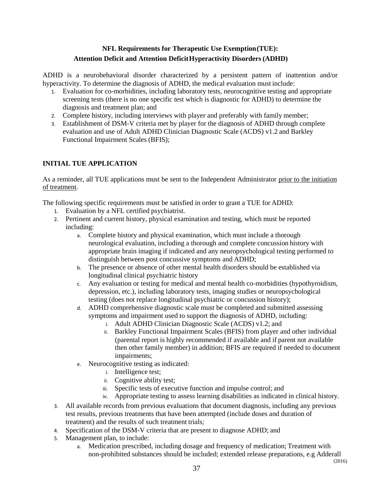# **NFL Requirements for Therapeutic Use Exemption(TUE): Attention Deficit and Attention DeficitHyperactivity Disorders (ADHD)**

ADHD is a neurobehavioral disorder characterized by a persistent pattern of inattention and/or hyperactivity. To determine the diagnosis of ADHD, the medical evaluation must include:

- 1. Evaluation for co-morbidities, including laboratory tests, neurocognitive testing and appropriate screening tests (there is no one specific test which is diagnostic for ADHD) to determine the diagnosis and treatment plan; and
- 2. Complete history, including interviews with player and preferably with family member;
- 3. Establishment of DSM-V criteria met by player for the diagnosis of ADHD through complete evaluation and use of Adult ADHD Clinician Diagnostic Scale (ACDS) v1.2 and Barkley Functional Impairment Scales (BFIS);

#### **INITIAL TUE APPLICATION**

As a reminder, all TUE applications must be sent to the Independent Administrator prior to the initiation of treatment.

The following specific requirements must be satisfied in order to grant a TUE for ADHD:

- 1. Evaluation by a NFL certified psychiatrist.
- 2. Pertinent and current history, physical examination and testing, which must be reported including:
	- a. Complete history and physical examination, which must include a thorough neurological evaluation, including a thorough and complete concussion history with appropriate brain imaging if indicated and any neuropsychological testing performed to distinguish between post concussive symptoms and ADHD;
	- b. The presence or absence of other mental health disorders should be established via longitudinal clinical psychiatric history
	- c. Any evaluation or testing for medical and mental health co-morbidities (hypothyroidism, depression, etc.), including laboratory tests, imaging studies or neuropsychological testing (does not replace longitudinal psychiatric or concussion history);
	- d. ADHD comprehensive diagnostic scale must be completed and submitted assessing symptoms and impairment used to support the diagnosis of ADHD, including:
		- i. Adult ADHD Clinician Diagnostic Scale (ACDS) v1.2; and
		- ii. Barkley Functional Impairment Scales (BFIS) from player and other individual (parental report is highly recommended if available and if parent not available then other family member) in addition; BFIS are required if needed to document impairments;
	- e. Neurocognitive testing as indicated:
		- i. Intelligence test;
		- ii. Cognitive ability test;
		- iii. Specific tests of executive function and impulse control; and
		- iv. Appropriate testing to assess learning disabilities as indicated in clinical history.
- 3. All available records from previous evaluations that document diagnosis, including any previous test results, previous treatments that have been attempted (include doses and duration of treatment) and the results of such treatment trials;
- 4. Specification of the DSM-V criteria that are present to diagnose ADHD; and
- 5. Management plan, to include:
	- (2016) a. Medication prescribed, including dosage and frequency of medication; Treatment with non-prohibited substances should be included; extended release preparations, e.g Adderall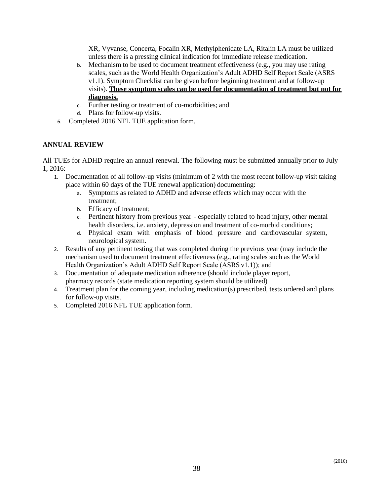XR, Vyvanse, Concerta, Focalin XR, Methylphenidate LA, Ritalin LA must be utilized unless there is a pressing clinical indication for immediate release medication.

- b. Mechanism to be used to document treatment effectiveness (e.g., you may use rating scales, such as the World Health Organization's Adult ADHD Self Report Scale (ASRS v1.1). Symptom Checklist can be given before beginning treatment and at follow-up visits). **These symptom scales can be used for documentation of treatment but not for diagnosis.**
- c. Further testing or treatment of co-morbidities; and
- d. Plans for follow-up visits.
- 6. Completed 2016 NFL TUE application form.

#### **ANNUAL REVIEW**

All TUEs for ADHD require an annual renewal. The following must be submitted annually prior to July 1, 2016:

- 1. Documentation of all follow-up visits (minimum of 2 with the most recent follow-up visit taking place within 60 days of the TUE renewal application) documenting:
	- a. Symptoms as related to ADHD and adverse effects which may occur with the treatment;
	- b. Efficacy of treatment;
	- c. Pertinent history from previous year especially related to head injury, other mental health disorders, i.e. anxiety, depression and treatment of co-morbid conditions;
	- d. Physical exam with emphasis of blood pressure and cardiovascular system, neurological system.
- 2. Results of any pertinent testing that was completed during the previous year (may include the mechanism used to document treatment effectiveness (e.g., rating scales such as the World Health Organization's Adult ADHD Self Report Scale (ASRS v1.1)); and
- 3. Documentation of adequate medication adherence (should include player report, pharmacy records (state medication reporting system should be utilized)
- 4. Treatment plan for the coming year, including medication(s) prescribed, tests ordered and plans for follow-up visits.
- 5. Completed 2016 NFL TUE application form.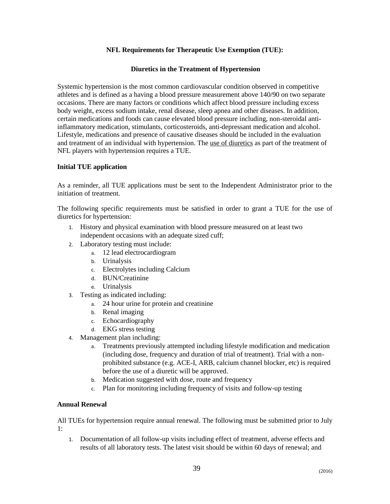#### **NFL Requirements for Therapeutic Use Exemption (TUE):**

#### **Diuretics in the Treatment of Hypertension**

Systemic hypertension is the most common cardiovascular condition observed in competitive athletes and is defined as a having a blood pressure measurement above 140/90 on two separate occasions. There are many factors or conditions which affect blood pressure including excess body weight, excess sodium intake, renal disease, sleep apnea and other diseases. In addition, certain medications and foods can cause elevated blood pressure including, non-steroidal antiinflammatory medication, stimulants, corticosteroids, anti-depressant medication and alcohol. Lifestyle, medications and presence of causative diseases should be included in the evaluation and treatment of an individual with hypertension. The use of diuretics as part of the treatment of NFL players with hypertension requires a TUE.

#### **Initial TUE application**

As a reminder, all TUE applications must be sent to the Independent Administrator prior to the initiation of treatment.

The following specific requirements must be satisfied in order to grant a TUE for the use of diuretics for hypertension:

- 1. History and physical examination with blood pressure measured on at least two independent occasions with an adequate sized cuff;
- 2. Laboratory testing must include:
	- a. 12 lead electrocardiogram
	- b. Urinalysis
	- c. Electrolytes including Calcium
	- d. BUN/Creatinine
	- e. Urinalysis
- 3. Testing as indicated including:
	- a. 24 hour urine for protein and creatinine
	- b. Renal imaging
	- c. Echocardiography
	- d. EKG stress testing
- 4. Management plan including:
	- a. Treatments previously attempted including lifestyle modification and medication (including dose, frequency and duration of trial of treatment). Trial with a nonprohibited substance (e.g. ACE-I, ARB, calcium channel blocker, etc) is required before the use of a diuretic will be approved.
	- b. Medication suggested with dose, route and frequency
	- c. Plan for monitoring including frequency of visits and follow-up testing

#### **Annual Renewal**

All TUEs for hypertension require annual renewal. The following must be submitted prior to July 1:

1. Documentation of all follow-up visits including effect of treatment, adverse effects and results of all laboratory tests. The latest visit should be within 60 days of renewal; and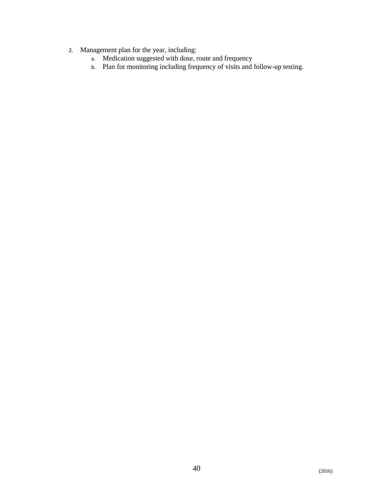- 2. Management plan for the year, including:
	- a. Medication suggested with dose, route and frequency
	- b. Plan for monitoring including frequency of visits and follow-up testing.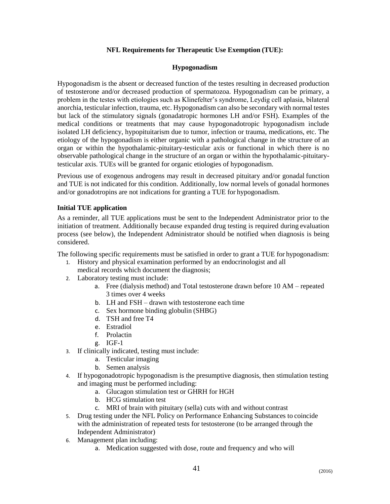#### **NFL Requirements for Therapeutic Use Exemption (TUE):**

#### **Hypogonadism**

Hypogonadism is the absent or decreased function of the testes resulting in decreased production of testosterone and/or decreased production of spermatozoa. Hypogonadism can be primary, a problem in the testes with etiologies such as Klinefelter's syndrome, Leydig cell aplasia, bilateral anorchia, testicular infection, trauma, etc. Hypogonadism can also be secondary with normal testes but lack of the stimulatory signals (gonadatropic hormones LH and/or FSH). Examples of the medical conditions or treatments that may cause hypogonadotropic hypogonadism include isolated LH deficiency, hypopituitarism due to tumor, infection or trauma, medications, etc. The etiology of the hypogonadism is either organic with a pathological change in the structure of an organ or within the hypothalamic-pituitary-testicular axis or functional in which there is no observable pathological change in the structure of an organ or within the hypothalamic-pituitarytesticular axis. TUEs will be granted for organic etiologies of hypogonadism.

Previous use of exogenous androgens may result in decreased pituitary and/or gonadal function and TUE is not indicated for this condition. Additionally, low normal levels of gonadal hormones and/or gonadotropins are not indications for granting a TUE for hypogonadism.

#### **Initial TUE application**

As a reminder, all TUE applications must be sent to the Independent Administrator prior to the initiation of treatment. Additionally because expanded drug testing is required during evaluation process (see below), the Independent Administrator should be notified when diagnosis is being considered.

The following specific requirements must be satisfied in order to grant a TUE for hypogonadism:

- 1. History and physical examination performed by an endocrinologist and all
	- medical records which document the diagnosis;
- 2. Laboratory testing must include:
	- a. Free (dialysis method) and Total testosterone drawn before 10 AM repeated 3 times over 4 weeks
	- b. LH and FSH drawn with testosterone each time
	- c. Sex hormone binding globulin (SHBG)
	- d. TSH and free T4
	- e. Estradiol
	- f. Prolactin
	- g. IGF-1
- 3. If clinically indicated, testing must include:
	- a. Testicular imaging
	- b. Semen analysis
- 4. If hypogonadotropic hypogonadism is the presumptive diagnosis, then stimulation testing and imaging must be performed including:
	- a. Glucagon stimulation test or GHRH for HGH
	- b. HCG stimulation test
	- c. MRI of brain with pituitary (sella) cuts with and without contrast
- 5. Drug testing under the NFL Policy on Performance Enhancing Substances to coincide with the administration of repeated tests for testosterone (to be arranged through the Independent Administrator)
- 6. Management plan including:
	- a. Medication suggested with dose, route and frequency and who will